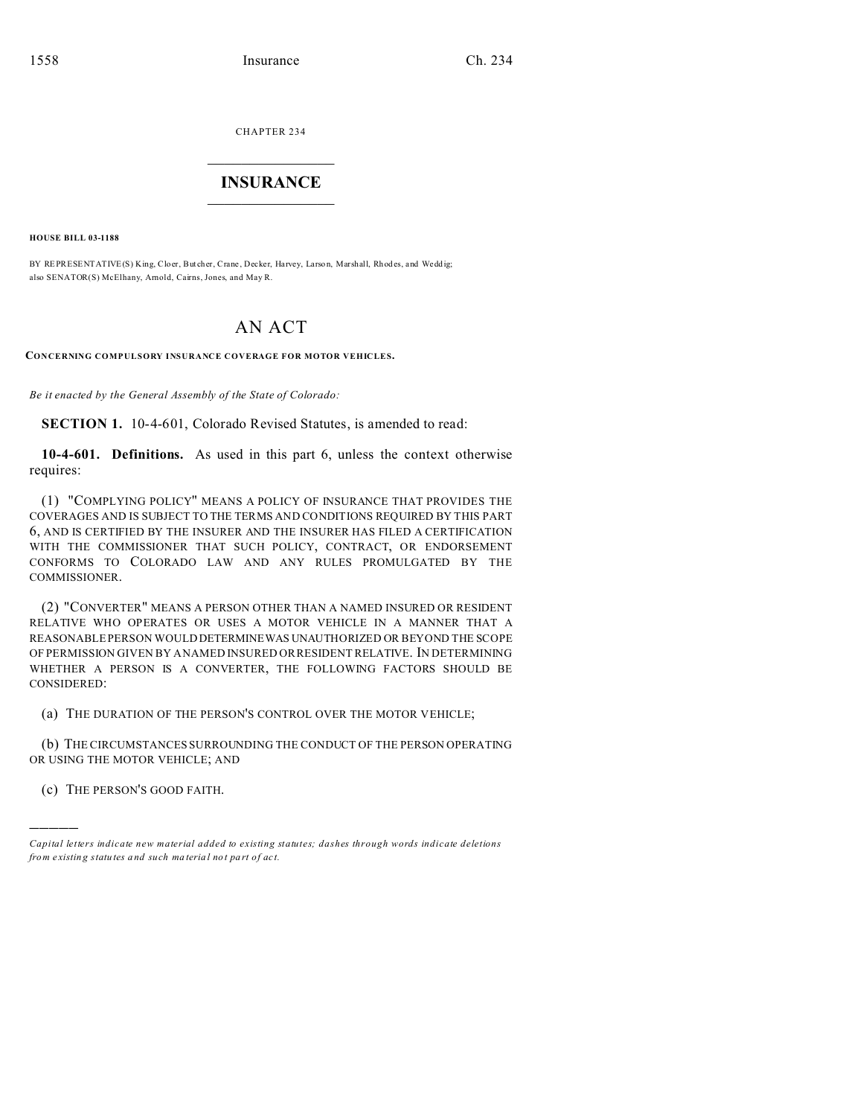CHAPTER 234  $\overline{\phantom{a}}$  , where  $\overline{\phantom{a}}$ 

# **INSURANCE**  $\_$   $\_$   $\_$   $\_$   $\_$   $\_$   $\_$   $\_$

**HOUSE BILL 03-1188**

BY REPRESENTATIVE(S) King, Cloer, Butcher, Crane, Decker, Harvey, Larson, Marshall, Rhodes, and Weddig; also SENATOR(S) McElhany, Arnold, Cairns, Jones, and May R.

# AN ACT

**CONCERNING COMPULSORY INSURANCE COVERAGE FOR MOTOR VEHICLES.**

*Be it enacted by the General Assembly of the State of Colorado:*

**SECTION 1.** 10-4-601, Colorado Revised Statutes, is amended to read:

**10-4-601. Definitions.** As used in this part 6, unless the context otherwise requires:

(1) "COMPLYING POLICY" MEANS A POLICY OF INSURANCE THAT PROVIDES THE COVERAGES AND IS SUBJECT TO THE TERMS AND CONDITIONS REQUIRED BY THIS PART 6, AND IS CERTIFIED BY THE INSURER AND THE INSURER HAS FILED A CERTIFICATION WITH THE COMMISSIONER THAT SUCH POLICY, CONTRACT, OR ENDORSEMENT CONFORMS TO COLORADO LAW AND ANY RULES PROMULGATED BY THE COMMISSIONER.

(2) "CONVERTER" MEANS A PERSON OTHER THAN A NAMED INSURED OR RESIDENT RELATIVE WHO OPERATES OR USES A MOTOR VEHICLE IN A MANNER THAT A REASONABLE PERSON WOULD DETERMINEWAS UNAUTHORIZED OR BEYOND THE SCOPE OF PERMISSION GIVEN BY A NAMED INSURED OR RESIDENT RELATIVE. IN DETERMINING WHETHER A PERSON IS A CONVERTER, THE FOLLOWING FACTORS SHOULD BE CONSIDERED:

(a) THE DURATION OF THE PERSON'S CONTROL OVER THE MOTOR VEHICLE;

(b) THE CIRCUMSTANCES SURROUNDING THE CONDUCT OF THE PERSON OPERATING OR USING THE MOTOR VEHICLE; AND

(c) THE PERSON'S GOOD FAITH.

)))))

*Capital letters indicate new material added to existing statutes; dashes through words indicate deletions from e xistin g statu tes a nd such ma teria l no t pa rt of ac t.*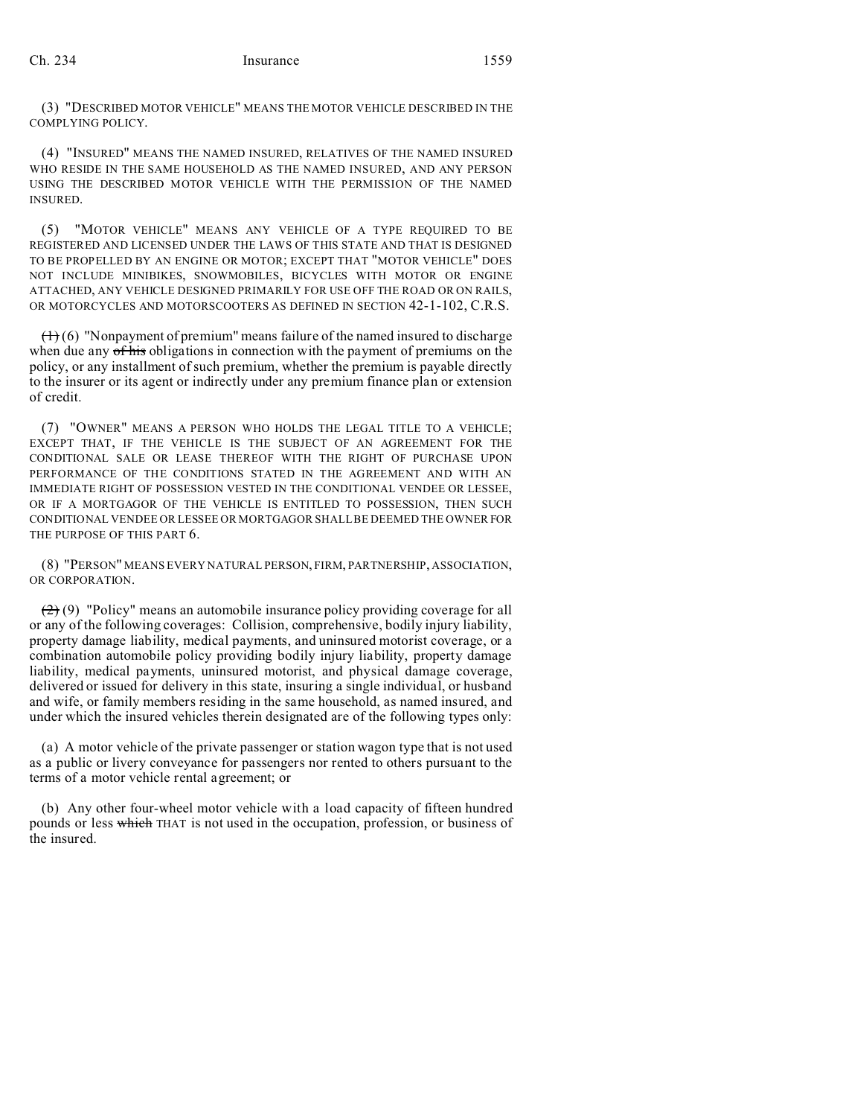(3) "DESCRIBED MOTOR VEHICLE" MEANS THE MOTOR VEHICLE DESCRIBED IN THE COMPLYING POLICY.

(4) "INSURED" MEANS THE NAMED INSURED, RELATIVES OF THE NAMED INSURED WHO RESIDE IN THE SAME HOUSEHOLD AS THE NAMED INSURED, AND ANY PERSON USING THE DESCRIBED MOTOR VEHICLE WITH THE PERMISSION OF THE NAMED INSURED.

(5) "MOTOR VEHICLE" MEANS ANY VEHICLE OF A TYPE REQUIRED TO BE REGISTERED AND LICENSED UNDER THE LAWS OF THIS STATE AND THAT IS DESIGNED TO BE PROPELLED BY AN ENGINE OR MOTOR; EXCEPT THAT "MOTOR VEHICLE" DOES NOT INCLUDE MINIBIKES, SNOWMOBILES, BICYCLES WITH MOTOR OR ENGINE ATTACHED, ANY VEHICLE DESIGNED PRIMARILY FOR USE OFF THE ROAD OR ON RAILS, OR MOTORCYCLES AND MOTORSCOOTERS AS DEFINED IN SECTION 42-1-102, C.R.S.

 $(1)$  (6) "Nonpayment of premium" means failure of the named insured to discharge when due any of his obligations in connection with the payment of premiums on the policy, or any installment of such premium, whether the premium is payable directly to the insurer or its agent or indirectly under any premium finance plan or extension of credit.

(7) "OWNER" MEANS A PERSON WHO HOLDS THE LEGAL TITLE TO A VEHICLE; EXCEPT THAT, IF THE VEHICLE IS THE SUBJECT OF AN AGREEMENT FOR THE CONDITIONAL SALE OR LEASE THEREOF WITH THE RIGHT OF PURCHASE UPON PERFORMANCE OF THE CONDITIONS STATED IN THE AGREEMENT AND WITH AN IMMEDIATE RIGHT OF POSSESSION VESTED IN THE CONDITIONAL VENDEE OR LESSEE, OR IF A MORTGAGOR OF THE VEHICLE IS ENTITLED TO POSSESSION, THEN SUCH CONDITIONAL VENDEE OR LESSEE OR MORTGAGOR SHALL BE DEEMED THE OWNER FOR THE PURPOSE OF THIS PART 6.

(8) "PERSON" MEANS EVERY NATURAL PERSON, FIRM, PARTNERSHIP, ASSOCIATION, OR CORPORATION.

(2) (9) "Policy" means an automobile insurance policy providing coverage for all or any of the following coverages: Collision, comprehensive, bodily injury liability, property damage liability, medical payments, and uninsured motorist coverage, or a combination automobile policy providing bodily injury liability, property damage liability, medical payments, uninsured motorist, and physical damage coverage, delivered or issued for delivery in this state, insuring a single individual, or husband and wife, or family members residing in the same household, as named insured, and under which the insured vehicles therein designated are of the following types only:

(a) A motor vehicle of the private passenger or station wagon type that is not used as a public or livery conveyance for passengers nor rented to others pursuant to the terms of a motor vehicle rental agreement; or

(b) Any other four-wheel motor vehicle with a load capacity of fifteen hundred pounds or less which THAT is not used in the occupation, profession, or business of the insured.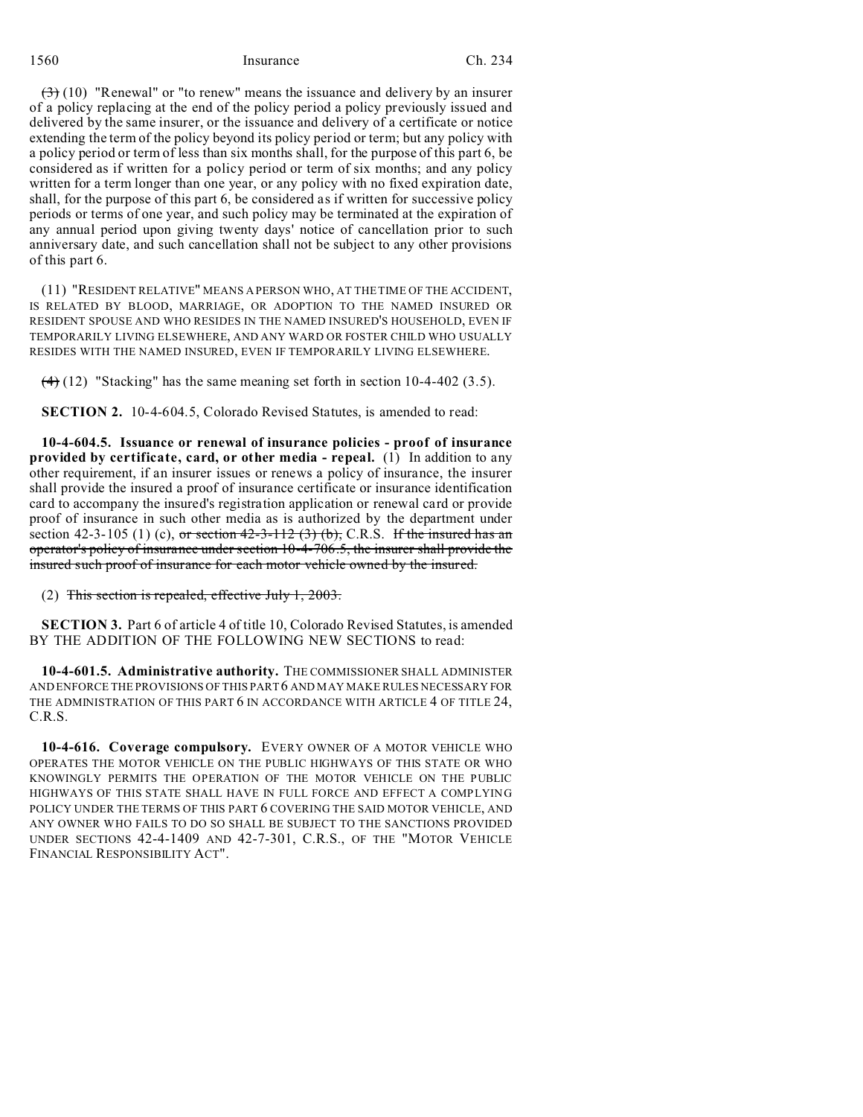$(3)$  (10) "Renewal" or "to renew" means the issuance and delivery by an insurer of a policy replacing at the end of the policy period a policy previously issued and delivered by the same insurer, or the issuance and delivery of a certificate or notice extending the term of the policy beyond its policy period or term; but any policy with a policy period or term of less than six months shall, for the purpose of this part 6, be considered as if written for a policy period or term of six months; and any policy written for a term longer than one year, or any policy with no fixed expiration date, shall, for the purpose of this part 6, be considered as if written for successive policy periods or terms of one year, and such policy may be terminated at the expiration of any annual period upon giving twenty days' notice of cancellation prior to such anniversary date, and such cancellation shall not be subject to any other provisions of this part 6.

(11) "RESIDENT RELATIVE" MEANS A PERSON WHO, AT THE TIME OF THE ACCIDENT, IS RELATED BY BLOOD, MARRIAGE, OR ADOPTION TO THE NAMED INSURED OR RESIDENT SPOUSE AND WHO RESIDES IN THE NAMED INSURED'S HOUSEHOLD, EVEN IF TEMPORARILY LIVING ELSEWHERE, AND ANY WARD OR FOSTER CHILD WHO USUALLY RESIDES WITH THE NAMED INSURED, EVEN IF TEMPORARILY LIVING ELSEWHERE.

 $(4)$  (12) "Stacking" has the same meaning set forth in section 10-4-402 (3.5).

**SECTION 2.** 10-4-604.5, Colorado Revised Statutes, is amended to read:

**10-4-604.5. Issuance or renewal of insurance policies - proof of insurance provided by certificate, card, or other media - repeal.** (1) In addition to any other requirement, if an insurer issues or renews a policy of insurance, the insurer shall provide the insured a proof of insurance certificate or insurance identification card to accompany the insured's registration application or renewal card or provide proof of insurance in such other media as is authorized by the department under section 42-3-105 (1) (c), or section  $42-3-112$  (3) (b), C.R.S. If the insured has an operator's policy of insurance under section 10-4-706.5, the insurer shall provide the insured such proof of insurance for each motor vehicle owned by the insured.

(2) This section is repealed, effective July 1, 2003.

**SECTION 3.** Part 6 of article 4 of title 10, Colorado Revised Statutes, is amended BY THE ADDITION OF THE FOLLOWING NEW SECTIONS to read:

**10-4-601.5. Administrative authority.** THE COMMISSIONER SHALL ADMINISTER AND ENFORCE THE PROVISIONS OF THIS PART 6 AND MAY MAKE RULES NECESSARY FOR THE ADMINISTRATION OF THIS PART 6 IN ACCORDANCE WITH ARTICLE 4 OF TITLE 24, C.R.S.

**10-4-616. Coverage compulsory.** EVERY OWNER OF A MOTOR VEHICLE WHO OPERATES THE MOTOR VEHICLE ON THE PUBLIC HIGHWAYS OF THIS STATE OR WHO KNOWINGLY PERMITS THE OPERATION OF THE MOTOR VEHICLE ON THE PUBLIC HIGHWAYS OF THIS STATE SHALL HAVE IN FULL FORCE AND EFFECT A COMPLYING POLICY UNDER THE TERMS OF THIS PART 6 COVERING THE SAID MOTOR VEHICLE, AND ANY OWNER WHO FAILS TO DO SO SHALL BE SUBJECT TO THE SANCTIONS PROVIDED UNDER SECTIONS 42-4-1409 AND 42-7-301, C.R.S., OF THE "MOTOR VEHICLE FINANCIAL RESPONSIBILITY ACT".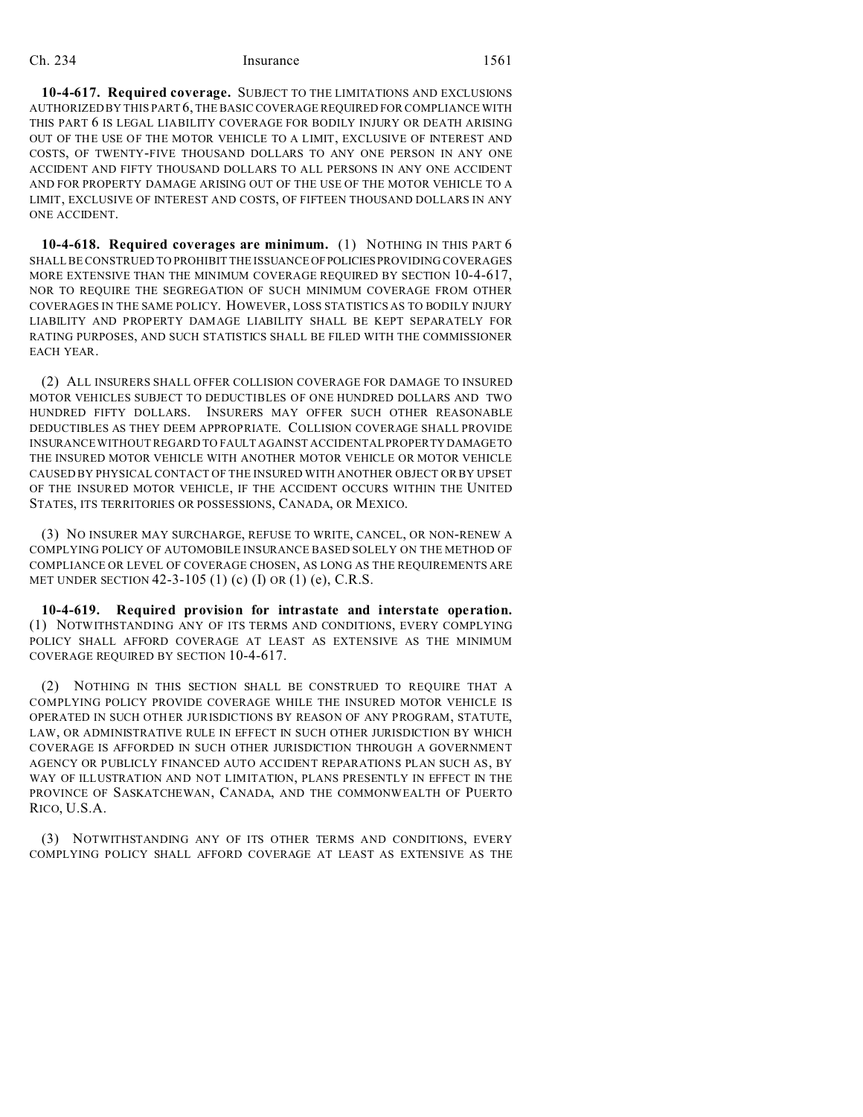**10-4-617. Required coverage.** SUBJECT TO THE LIMITATIONS AND EXCLUSIONS AUTHORIZED BY THIS PART 6, THE BASIC COVERAGE REQUIRED FOR COMPLIANCE WITH THIS PART 6 IS LEGAL LIABILITY COVERAGE FOR BODILY INJURY OR DEATH ARISING OUT OF THE USE OF THE MOTOR VEHICLE TO A LIMIT, EXCLUSIVE OF INTEREST AND COSTS, OF TWENTY-FIVE THOUSAND DOLLARS TO ANY ONE PERSON IN ANY ONE ACCIDENT AND FIFTY THOUSAND DOLLARS TO ALL PERSONS IN ANY ONE ACCIDENT AND FOR PROPERTY DAMAGE ARISING OUT OF THE USE OF THE MOTOR VEHICLE TO A LIMIT, EXCLUSIVE OF INTEREST AND COSTS, OF FIFTEEN THOUSAND DOLLARS IN ANY ONE ACCIDENT.

**10-4-618. Required coverages are minimum.** (1) NOTHING IN THIS PART 6 SHALL BE CONSTRUED TO PROHIBIT THE ISSUANCE OFPOLICIESPROVIDING COVERAGES MORE EXTENSIVE THAN THE MINIMUM COVERAGE REQUIRED BY SECTION 10-4-617, NOR TO REQUIRE THE SEGREGATION OF SUCH MINIMUM COVERAGE FROM OTHER COVERAGES IN THE SAME POLICY. HOWEVER, LOSS STATISTICS AS TO BODILY INJURY LIABILITY AND PROPERTY DAMAGE LIABILITY SHALL BE KEPT SEPARATELY FOR RATING PURPOSES, AND SUCH STATISTICS SHALL BE FILED WITH THE COMMISSIONER EACH YEAR.

(2) ALL INSURERS SHALL OFFER COLLISION COVERAGE FOR DAMAGE TO INSURED MOTOR VEHICLES SUBJECT TO DEDUCTIBLES OF ONE HUNDRED DOLLARS AND TWO HUNDRED FIFTY DOLLARS. INSURERS MAY OFFER SUCH OTHER REASONABLE DEDUCTIBLES AS THEY DEEM APPROPRIATE. COLLISION COVERAGE SHALL PROVIDE INSURANCE WITHOUT REGARD TO FAULT AGAINST ACCIDENTAL PROPERTY DAMAGETO THE INSURED MOTOR VEHICLE WITH ANOTHER MOTOR VEHICLE OR MOTOR VEHICLE CAUSED BY PHYSICAL CONTACT OF THE INSURED WITH ANOTHER OBJECT OR BY UPSET OF THE INSURED MOTOR VEHICLE, IF THE ACCIDENT OCCURS WITHIN THE UNITED STATES, ITS TERRITORIES OR POSSESSIONS, CANADA, OR MEXICO.

(3) NO INSURER MAY SURCHARGE, REFUSE TO WRITE, CANCEL, OR NON-RENEW A COMPLYING POLICY OF AUTOMOBILE INSURANCE BASED SOLELY ON THE METHOD OF COMPLIANCE OR LEVEL OF COVERAGE CHOSEN, AS LONG AS THE REQUIREMENTS ARE MET UNDER SECTION 42-3-105 (1) (c) (I) OR (1) (e), C.R.S.

**10-4-619. Required provision for intrastate and interstate operation.** (1) NOTWITHSTANDING ANY OF ITS TERMS AND CONDITIONS, EVERY COMPLYING POLICY SHALL AFFORD COVERAGE AT LEAST AS EXTENSIVE AS THE MINIMUM COVERAGE REQUIRED BY SECTION 10-4-617.

(2) NOTHING IN THIS SECTION SHALL BE CONSTRUED TO REQUIRE THAT A COMPLYING POLICY PROVIDE COVERAGE WHILE THE INSURED MOTOR VEHICLE IS OPERATED IN SUCH OTHER JURISDICTIONS BY REASON OF ANY PROGRAM, STATUTE, LAW, OR ADMINISTRATIVE RULE IN EFFECT IN SUCH OTHER JURISDICTION BY WHICH COVERAGE IS AFFORDED IN SUCH OTHER JURISDICTION THROUGH A GOVERNMENT AGENCY OR PUBLICLY FINANCED AUTO ACCIDENT REPARATIONS PLAN SUCH AS, BY WAY OF ILLUSTRATION AND NOT LIMITATION, PLANS PRESENTLY IN EFFECT IN THE PROVINCE OF SASKATCHEWAN, CANADA, AND THE COMMONWEALTH OF PUERTO RICO, U.S.A.

(3) NOTWITHSTANDING ANY OF ITS OTHER TERMS AND CONDITIONS, EVERY COMPLYING POLICY SHALL AFFORD COVERAGE AT LEAST AS EXTENSIVE AS THE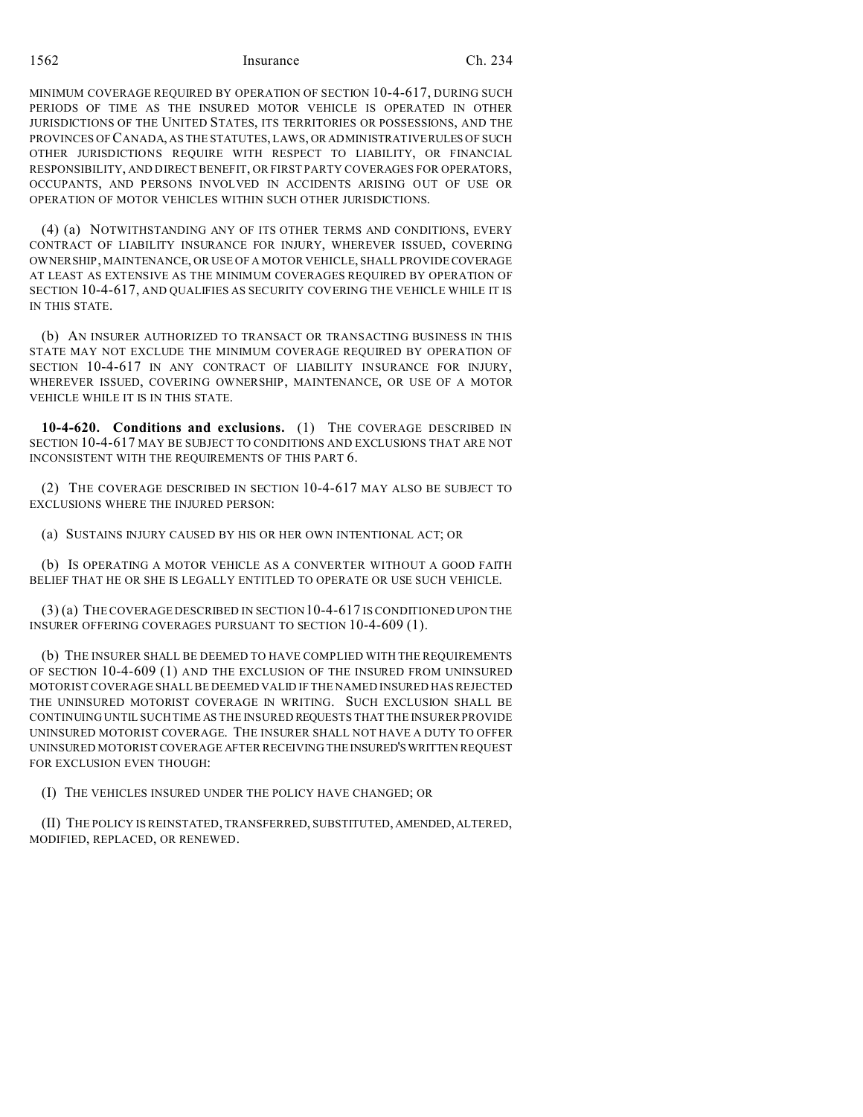MINIMUM COVERAGE REQUIRED BY OPERATION OF SECTION 10-4-617, DURING SUCH PERIODS OF TIME AS THE INSURED MOTOR VEHICLE IS OPERATED IN OTHER JURISDICTIONS OF THE UNITED STATES, ITS TERRITORIES OR POSSESSIONS, AND THE PROVINCES OF CANADA, AS THE STATUTES, LAWS, OR ADMINISTRATIVERULES OF SUCH OTHER JURISDICTIONS REQUIRE WITH RESPECT TO LIABILITY, OR FINANCIAL RESPONSIBILITY, AND DIRECT BENEFIT, OR FIRST PARTY COVERAGES FOR OPERATORS, OCCUPANTS, AND PERSONS INVOLVED IN ACCIDENTS ARISING OUT OF USE OR OPERATION OF MOTOR VEHICLES WITHIN SUCH OTHER JURISDICTIONS.

(4) (a) NOTWITHSTANDING ANY OF ITS OTHER TERMS AND CONDITIONS, EVERY CONTRACT OF LIABILITY INSURANCE FOR INJURY, WHEREVER ISSUED, COVERING OWNERSHIP, MAINTENANCE, OR USE OF A MOTOR VEHICLE, SHALL PROVIDE COVERAGE AT LEAST AS EXTENSIVE AS THE MINIMUM COVERAGES REQUIRED BY OPERATION OF SECTION 10-4-617, AND QUALIFIES AS SECURITY COVERING THE VEHICLE WHILE IT IS IN THIS STATE.

(b) AN INSURER AUTHORIZED TO TRANSACT OR TRANSACTING BUSINESS IN THIS STATE MAY NOT EXCLUDE THE MINIMUM COVERAGE REQUIRED BY OPERATION OF SECTION 10-4-617 IN ANY CONTRACT OF LIABILITY INSURANCE FOR INJURY, WHEREVER ISSUED, COVERING OWNERSHIP, MAINTENANCE, OR USE OF A MOTOR VEHICLE WHILE IT IS IN THIS STATE.

**10-4-620. Conditions and exclusions.** (1) THE COVERAGE DESCRIBED IN SECTION 10-4-617 MAY BE SUBJECT TO CONDITIONS AND EXCLUSIONS THAT ARE NOT INCONSISTENT WITH THE REQUIREMENTS OF THIS PART 6.

(2) THE COVERAGE DESCRIBED IN SECTION 10-4-617 MAY ALSO BE SUBJECT TO EXCLUSIONS WHERE THE INJURED PERSON:

(a) SUSTAINS INJURY CAUSED BY HIS OR HER OWN INTENTIONAL ACT; OR

(b) IS OPERATING A MOTOR VEHICLE AS A CONVERTER WITHOUT A GOOD FAITH BELIEF THAT HE OR SHE IS LEGALLY ENTITLED TO OPERATE OR USE SUCH VEHICLE.

(3) (a) THE COVERAGE DESCRIBED IN SECTION10-4-617 IS CONDITIONED UPON THE INSURER OFFERING COVERAGES PURSUANT TO SECTION 10-4-609 (1).

(b) THE INSURER SHALL BE DEEMED TO HAVE COMPLIED WITH THE REQUIREMENTS OF SECTION 10-4-609 (1) AND THE EXCLUSION OF THE INSURED FROM UNINSURED MOTORIST COVERAGE SHALL BE DEEMED VALID IF THE NAMED INSURED HAS REJECTED THE UNINSURED MOTORIST COVERAGE IN WRITING. SUCH EXCLUSION SHALL BE CONTINUING UNTIL SUCH TIME AS THE INSURED REQUESTS THAT THE INSURER PROVIDE UNINSURED MOTORIST COVERAGE. THE INSURER SHALL NOT HAVE A DUTY TO OFFER UNINSURED MOTORIST COVERAGE AFTER RECEIVING THEINSURED'SWRITTEN REQUEST FOR EXCLUSION EVEN THOUGH:

(I) THE VEHICLES INSURED UNDER THE POLICY HAVE CHANGED; OR

(II) THE POLICY IS REINSTATED, TRANSFERRED, SUBSTITUTED, AMENDED,ALTERED, MODIFIED, REPLACED, OR RENEWED.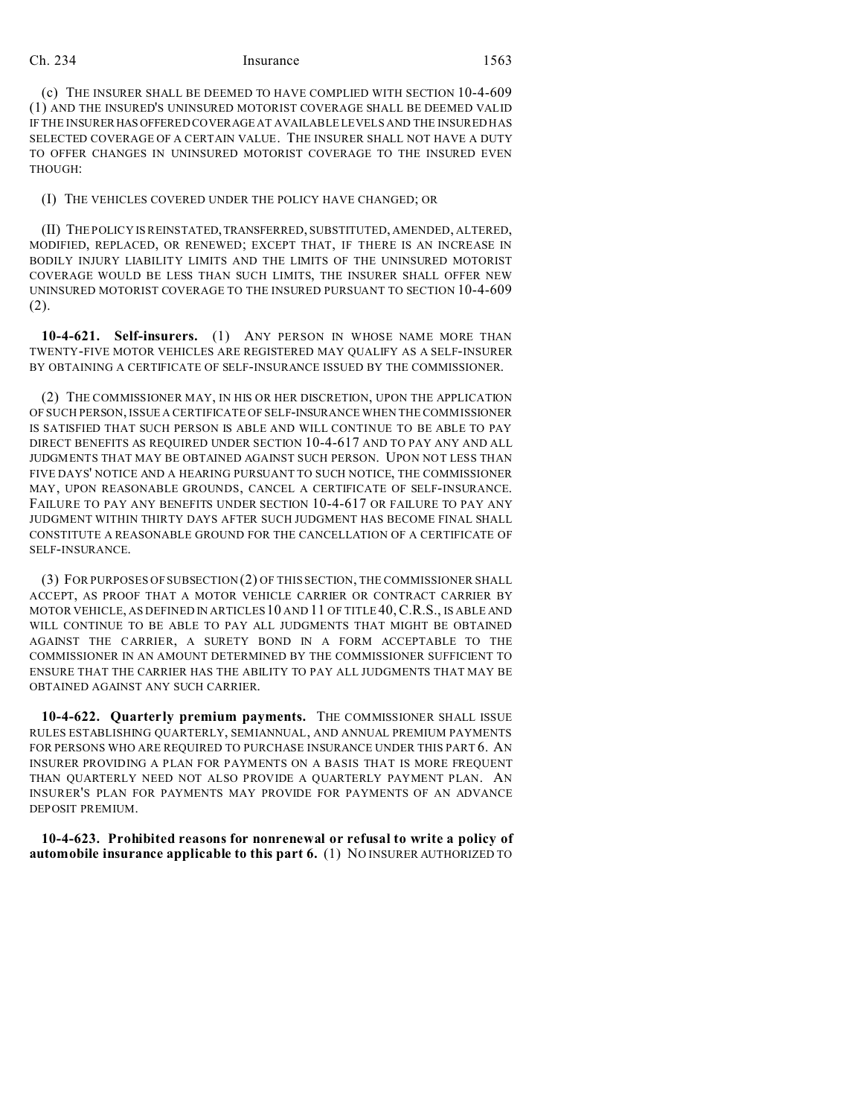(c) THE INSURER SHALL BE DEEMED TO HAVE COMPLIED WITH SECTION 10-4-609 (1) AND THE INSURED'S UNINSURED MOTORIST COVERAGE SHALL BE DEEMED VALID IF THE INSURER HAS OFFERED COVERAGE AT AVAILABLE LEVELS AND THE INSURED HAS SELECTED COVERAGE OF A CERTAIN VALUE. THE INSURER SHALL NOT HAVE A DUTY TO OFFER CHANGES IN UNINSURED MOTORIST COVERAGE TO THE INSURED EVEN THOUGH:

#### (I) THE VEHICLES COVERED UNDER THE POLICY HAVE CHANGED; OR

(II) THE POLICY IS REINSTATED,TRANSFERRED, SUBSTITUTED, AMENDED, ALTERED, MODIFIED, REPLACED, OR RENEWED; EXCEPT THAT, IF THERE IS AN INCREASE IN BODILY INJURY LIABILITY LIMITS AND THE LIMITS OF THE UNINSURED MOTORIST COVERAGE WOULD BE LESS THAN SUCH LIMITS, THE INSURER SHALL OFFER NEW UNINSURED MOTORIST COVERAGE TO THE INSURED PURSUANT TO SECTION 10-4-609 (2).

**10-4-621. Self-insurers.** (1) ANY PERSON IN WHOSE NAME MORE THAN TWENTY-FIVE MOTOR VEHICLES ARE REGISTERED MAY QUALIFY AS A SELF-INSURER BY OBTAINING A CERTIFICATE OF SELF-INSURANCE ISSUED BY THE COMMISSIONER.

(2) THE COMMISSIONER MAY, IN HIS OR HER DISCRETION, UPON THE APPLICATION OF SUCH PERSON, ISSUE A CERTIFICATE OF SELF-INSURANCE WHEN THE COMMISSIONER IS SATISFIED THAT SUCH PERSON IS ABLE AND WILL CONTINUE TO BE ABLE TO PAY DIRECT BENEFITS AS REQUIRED UNDER SECTION 10-4-617 AND TO PAY ANY AND ALL JUDGMENTS THAT MAY BE OBTAINED AGAINST SUCH PERSON. UPON NOT LESS THAN FIVE DAYS' NOTICE AND A HEARING PURSUANT TO SUCH NOTICE, THE COMMISSIONER MAY, UPON REASONABLE GROUNDS, CANCEL A CERTIFICATE OF SELF-INSURANCE. FAILURE TO PAY ANY BENEFITS UNDER SECTION 10-4-617 OR FAILURE TO PAY ANY JUDGMENT WITHIN THIRTY DAYS AFTER SUCH JUDGMENT HAS BECOME FINAL SHALL CONSTITUTE A REASONABLE GROUND FOR THE CANCELLATION OF A CERTIFICATE OF SELF-INSURANCE.

(3) FOR PURPOSES OF SUBSECTION (2) OF THIS SECTION, THE COMMISSIONER SHALL ACCEPT, AS PROOF THAT A MOTOR VEHICLE CARRIER OR CONTRACT CARRIER BY MOTOR VEHICLE, AS DEFINED IN ARTICLES 10 AND 11 OF TITLE 40,C.R.S., IS ABLE AND WILL CONTINUE TO BE ABLE TO PAY ALL JUDGMENTS THAT MIGHT BE OBTAINED AGAINST THE CARRIER, A SURETY BOND IN A FORM ACCEPTABLE TO THE COMMISSIONER IN AN AMOUNT DETERMINED BY THE COMMISSIONER SUFFICIENT TO ENSURE THAT THE CARRIER HAS THE ABILITY TO PAY ALL JUDGMENTS THAT MAY BE OBTAINED AGAINST ANY SUCH CARRIER.

**10-4-622. Quarterly premium payments.** THE COMMISSIONER SHALL ISSUE RULES ESTABLISHING QUARTERLY, SEMIANNUAL, AND ANNUAL PREMIUM PAYMENTS FOR PERSONS WHO ARE REQUIRED TO PURCHASE INSURANCE UNDER THIS PART 6. AN INSURER PROVIDING A PLAN FOR PAYMENTS ON A BASIS THAT IS MORE FREQUENT THAN QUARTERLY NEED NOT ALSO PROVIDE A QUARTERLY PAYMENT PLAN. AN INSURER'S PLAN FOR PAYMENTS MAY PROVIDE FOR PAYMENTS OF AN ADVANCE DEPOSIT PREMIUM.

**10-4-623. Prohibited reasons for nonrenewal or refusal to write a policy of automobile insurance applicable to this part 6.** (1) NO INSURER AUTHORIZED TO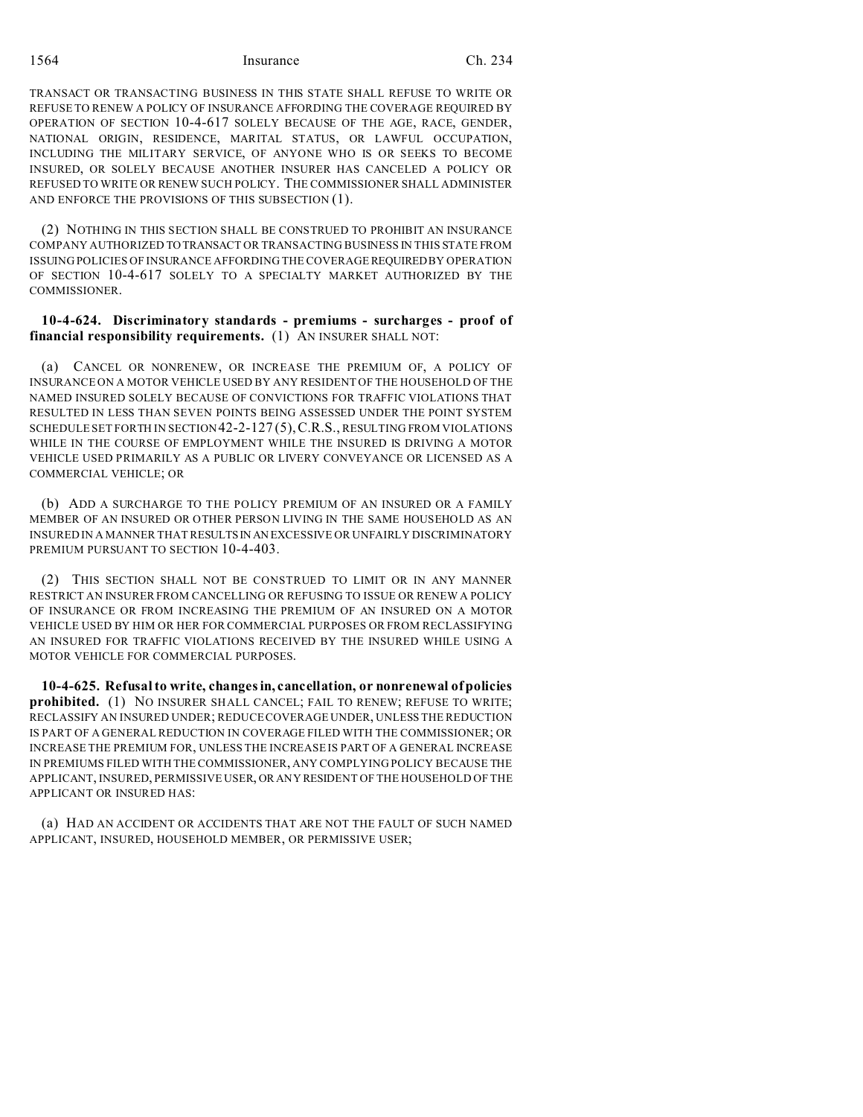TRANSACT OR TRANSACTING BUSINESS IN THIS STATE SHALL REFUSE TO WRITE OR REFUSE TO RENEW A POLICY OF INSURANCE AFFORDING THE COVERAGE REQUIRED BY OPERATION OF SECTION 10-4-617 SOLELY BECAUSE OF THE AGE, RACE, GENDER, NATIONAL ORIGIN, RESIDENCE, MARITAL STATUS, OR LAWFUL OCCUPATION, INCLUDING THE MILITARY SERVICE, OF ANYONE WHO IS OR SEEKS TO BECOME INSURED, OR SOLELY BECAUSE ANOTHER INSURER HAS CANCELED A POLICY OR REFUSED TO WRITE OR RENEW SUCH POLICY. THE COMMISSIONER SHALL ADMINISTER AND ENFORCE THE PROVISIONS OF THIS SUBSECTION (1).

(2) NOTHING IN THIS SECTION SHALL BE CONSTRUED TO PROHIBIT AN INSURANCE COMPANY AUTHORIZED TO TRANSACT OR TRANSACTING BUSINESS IN THIS STATE FROM ISSUING POLICIES OF INSURANCE AFFORDING THE COVERAGE REQUIRED BY OPERATION OF SECTION 10-4-617 SOLELY TO A SPECIALTY MARKET AUTHORIZED BY THE COMMISSIONER.

# **10-4-624. Discriminatory standards - premiums - surcharges - proof of financial responsibility requirements.** (1) AN INSURER SHALL NOT:

(a) CANCEL OR NONRENEW, OR INCREASE THE PREMIUM OF, A POLICY OF INSURANCE ON A MOTOR VEHICLE USED BY ANY RESIDENT OF THE HOUSEHOLD OF THE NAMED INSURED SOLELY BECAUSE OF CONVICTIONS FOR TRAFFIC VIOLATIONS THAT RESULTED IN LESS THAN SEVEN POINTS BEING ASSESSED UNDER THE POINT SYSTEM SCHEDULE SET FORTH IN SECTION 42-2-127 (5),C.R.S., RESULTING FROM VIOLATIONS WHILE IN THE COURSE OF EMPLOYMENT WHILE THE INSURED IS DRIVING A MOTOR VEHICLE USED PRIMARILY AS A PUBLIC OR LIVERY CONVEYANCE OR LICENSED AS A COMMERCIAL VEHICLE; OR

(b) ADD A SURCHARGE TO THE POLICY PREMIUM OF AN INSURED OR A FAMILY MEMBER OF AN INSURED OR OTHER PERSON LIVING IN THE SAME HOUSEHOLD AS AN INSURED IN A MANNER THAT RESULTSIN AN EXCESSIVE OR UNFAIRLY DISCRIMINATORY PREMIUM PURSUANT TO SECTION 10-4-403.

(2) THIS SECTION SHALL NOT BE CONSTRUED TO LIMIT OR IN ANY MANNER RESTRICT AN INSURER FROM CANCELLING OR REFUSING TO ISSUE OR RENEW A POLICY OF INSURANCE OR FROM INCREASING THE PREMIUM OF AN INSURED ON A MOTOR VEHICLE USED BY HIM OR HER FOR COMMERCIAL PURPOSES OR FROM RECLASSIFYING AN INSURED FOR TRAFFIC VIOLATIONS RECEIVED BY THE INSURED WHILE USING A MOTOR VEHICLE FOR COMMERCIAL PURPOSES.

**10-4-625. Refusal to write, changes in, cancellation, or nonrenewal of policies prohibited.** (1) NO INSURER SHALL CANCEL; FAIL TO RENEW; REFUSE TO WRITE; RECLASSIFY AN INSURED UNDER; REDUCE COVERAGE UNDER, UNLESS THE REDUCTION IS PART OF A GENERAL REDUCTION IN COVERAGE FILED WITH THE COMMISSIONER; OR INCREASE THE PREMIUM FOR, UNLESS THE INCREASE IS PART OF A GENERAL INCREASE IN PREMIUMS FILED WITH THE COMMISSIONER, ANY COMPLYING POLICY BECAUSE THE APPLICANT, INSURED, PERMISSIVE USER, OR ANY RESIDENT OF THE HOUSEHOLD OF THE APPLICANT OR INSURED HAS:

(a) HAD AN ACCIDENT OR ACCIDENTS THAT ARE NOT THE FAULT OF SUCH NAMED APPLICANT, INSURED, HOUSEHOLD MEMBER, OR PERMISSIVE USER;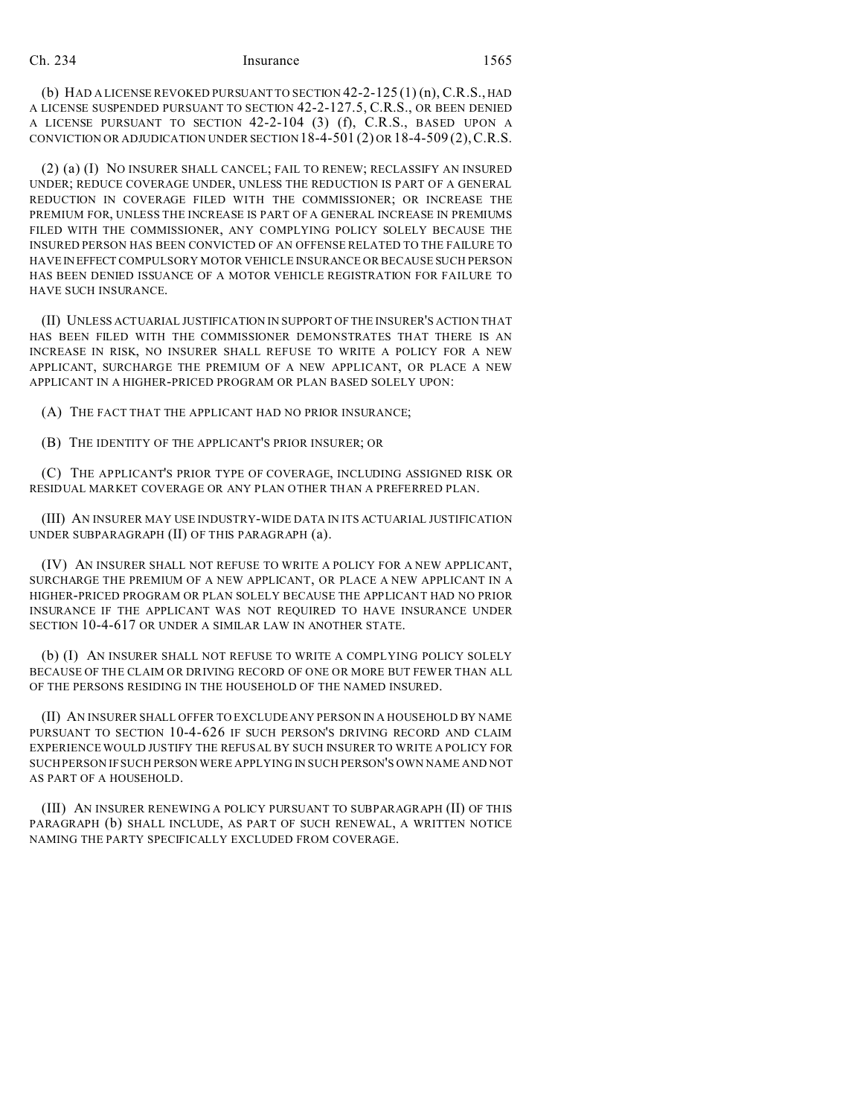(b) HAD A LICENSE REVOKED PURSUANT TO SECTION  $42$ -2-125 (1) (n), C.R.S., HAD A LICENSE SUSPENDED PURSUANT TO SECTION 42-2-127.5, C.R.S., OR BEEN DENIED A LICENSE PURSUANT TO SECTION 42-2-104 (3) (f), C.R.S., BASED UPON A CONVICTION OR ADJUDICATION UNDER SECTION  $18-4-501(2)$  OR  $18-4-509(2)$ , C.R.S.

(2) (a) (I) NO INSURER SHALL CANCEL; FAIL TO RENEW; RECLASSIFY AN INSURED UNDER; REDUCE COVERAGE UNDER, UNLESS THE REDUCTION IS PART OF A GENERAL REDUCTION IN COVERAGE FILED WITH THE COMMISSIONER; OR INCREASE THE PREMIUM FOR, UNLESS THE INCREASE IS PART OF A GENERAL INCREASE IN PREMIUMS FILED WITH THE COMMISSIONER, ANY COMPLYING POLICY SOLELY BECAUSE THE INSURED PERSON HAS BEEN CONVICTED OF AN OFFENSE RELATED TO THE FAILURE TO HAVEIN EFFECT COMPULSORY MOTOR VEHICLE INSURANCE OR BECAUSE SUCH PERSON HAS BEEN DENIED ISSUANCE OF A MOTOR VEHICLE REGISTRATION FOR FAILURE TO HAVE SUCH INSURANCE.

(II) UNLESS ACTUARIAL JUSTIFICATION IN SUPPORT OF THE INSURER'S ACTION THAT HAS BEEN FILED WITH THE COMMISSIONER DEMONSTRATES THAT THERE IS AN INCREASE IN RISK, NO INSURER SHALL REFUSE TO WRITE A POLICY FOR A NEW APPLICANT, SURCHARGE THE PREMIUM OF A NEW APPLICANT, OR PLACE A NEW APPLICANT IN A HIGHER-PRICED PROGRAM OR PLAN BASED SOLELY UPON:

(A) THE FACT THAT THE APPLICANT HAD NO PRIOR INSURANCE;

(B) THE IDENTITY OF THE APPLICANT'S PRIOR INSURER; OR

(C) THE APPLICANT'S PRIOR TYPE OF COVERAGE, INCLUDING ASSIGNED RISK OR RESIDUAL MARKET COVERAGE OR ANY PLAN OTHER THAN A PREFERRED PLAN.

(III) AN INSURER MAY USE INDUSTRY-WIDE DATA IN ITS ACTUARIAL JUSTIFICATION UNDER SUBPARAGRAPH (II) OF THIS PARAGRAPH (a).

(IV) AN INSURER SHALL NOT REFUSE TO WRITE A POLICY FOR A NEW APPLICANT, SURCHARGE THE PREMIUM OF A NEW APPLICANT, OR PLACE A NEW APPLICANT IN A HIGHER-PRICED PROGRAM OR PLAN SOLELY BECAUSE THE APPLICANT HAD NO PRIOR INSURANCE IF THE APPLICANT WAS NOT REQUIRED TO HAVE INSURANCE UNDER SECTION 10-4-617 OR UNDER A SIMILAR LAW IN ANOTHER STATE.

(b) (I) AN INSURER SHALL NOT REFUSE TO WRITE A COMPLYING POLICY SOLELY BECAUSE OF THE CLAIM OR DRIVING RECORD OF ONE OR MORE BUT FEWER THAN ALL OF THE PERSONS RESIDING IN THE HOUSEHOLD OF THE NAMED INSURED.

(II) AN INSURER SHALL OFFER TO EXCLUDE ANY PERSON IN A HOUSEHOLD BY NAME PURSUANT TO SECTION 10-4-626 IF SUCH PERSON'S DRIVING RECORD AND CLAIM EXPERIENCE WOULD JUSTIFY THE REFUSAL BY SUCH INSURER TO WRITE A POLICY FOR SUCH PERSON IF SUCH PERSON WERE APPLYING IN SUCH PERSON'S OWN NAME AND NOT AS PART OF A HOUSEHOLD.

(III) AN INSURER RENEWING A POLICY PURSUANT TO SUBPARAGRAPH (II) OF THIS PARAGRAPH (b) SHALL INCLUDE, AS PART OF SUCH RENEWAL, A WRITTEN NOTICE NAMING THE PARTY SPECIFICALLY EXCLUDED FROM COVERAGE.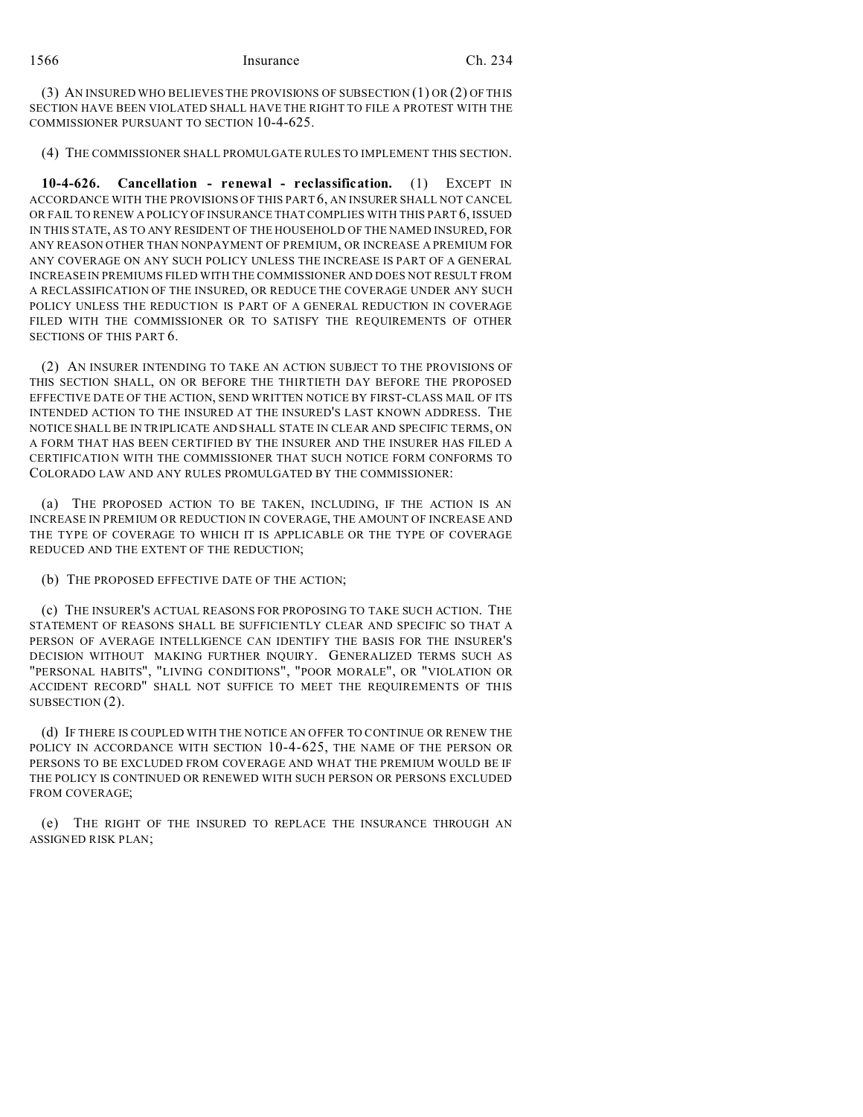(3) AN INSURED WHO BELIEVES THE PROVISIONS OF SUBSECTION (1) OR (2) OF THIS SECTION HAVE BEEN VIOLATED SHALL HAVE THE RIGHT TO FILE A PROTEST WITH THE COMMISSIONER PURSUANT TO SECTION 10-4-625.

(4) THE COMMISSIONER SHALL PROMULGATE RULES TO IMPLEMENT THIS SECTION.

**10-4-626. Cancellation - renewal - reclassification.** (1) EXCEPT IN ACCORDANCE WITH THE PROVISIONS OF THIS PART 6, AN INSURER SHALL NOT CANCEL OR FAIL TO RENEW A POLICY OF INSURANCE THAT COMPLIES WITH THIS PART 6, ISSUED IN THIS STATE, AS TO ANY RESIDENT OF THE HOUSEHOLD OF THE NAMED INSURED, FOR ANY REASON OTHER THAN NONPAYMENT OF PREMIUM, OR INCREASE A PREMIUM FOR ANY COVERAGE ON ANY SUCH POLICY UNLESS THE INCREASE IS PART OF A GENERAL INCREASE IN PREMIUMS FILED WITH THE COMMISSIONER AND DOES NOT RESULT FROM A RECLASSIFICATION OF THE INSURED, OR REDUCE THE COVERAGE UNDER ANY SUCH POLICY UNLESS THE REDUCTION IS PART OF A GENERAL REDUCTION IN COVERAGE FILED WITH THE COMMISSIONER OR TO SATISFY THE REQUIREMENTS OF OTHER SECTIONS OF THIS PART 6.

(2) AN INSURER INTENDING TO TAKE AN ACTION SUBJECT TO THE PROVISIONS OF THIS SECTION SHALL, ON OR BEFORE THE THIRTIETH DAY BEFORE THE PROPOSED EFFECTIVE DATE OF THE ACTION, SEND WRITTEN NOTICE BY FIRST-CLASS MAIL OF ITS INTENDED ACTION TO THE INSURED AT THE INSURED'S LAST KNOWN ADDRESS. THE NOTICE SHALL BE IN TRIPLICATE AND SHALL STATE IN CLEAR AND SPECIFIC TERMS, ON A FORM THAT HAS BEEN CERTIFIED BY THE INSURER AND THE INSURER HAS FILED A CERTIFICATION WITH THE COMMISSIONER THAT SUCH NOTICE FORM CONFORMS TO COLORADO LAW AND ANY RULES PROMULGATED BY THE COMMISSIONER:

(a) THE PROPOSED ACTION TO BE TAKEN, INCLUDING, IF THE ACTION IS AN INCREASE IN PREMIUM OR REDUCTION IN COVERAGE, THE AMOUNT OF INCREASE AND THE TYPE OF COVERAGE TO WHICH IT IS APPLICABLE OR THE TYPE OF COVERAGE REDUCED AND THE EXTENT OF THE REDUCTION;

(b) THE PROPOSED EFFECTIVE DATE OF THE ACTION;

(c) THE INSURER'S ACTUAL REASONS FOR PROPOSING TO TAKE SUCH ACTION. THE STATEMENT OF REASONS SHALL BE SUFFICIENTLY CLEAR AND SPECIFIC SO THAT A PERSON OF AVERAGE INTELLIGENCE CAN IDENTIFY THE BASIS FOR THE INSURER'S DECISION WITHOUT MAKING FURTHER INQUIRY. GENERALIZED TERMS SUCH AS "PERSONAL HABITS", "LIVING CONDITIONS", "POOR MORALE", OR "VIOLATION OR ACCIDENT RECORD" SHALL NOT SUFFICE TO MEET THE REQUIREMENTS OF THIS SUBSECTION (2).

(d) IF THERE IS COUPLED WITH THE NOTICE AN OFFER TO CONTINUE OR RENEW THE POLICY IN ACCORDANCE WITH SECTION 10-4-625, THE NAME OF THE PERSON OR PERSONS TO BE EXCLUDED FROM COVERAGE AND WHAT THE PREMIUM WOULD BE IF THE POLICY IS CONTINUED OR RENEWED WITH SUCH PERSON OR PERSONS EXCLUDED FROM COVERAGE;

(e) THE RIGHT OF THE INSURED TO REPLACE THE INSURANCE THROUGH AN ASSIGNED RISK PLAN;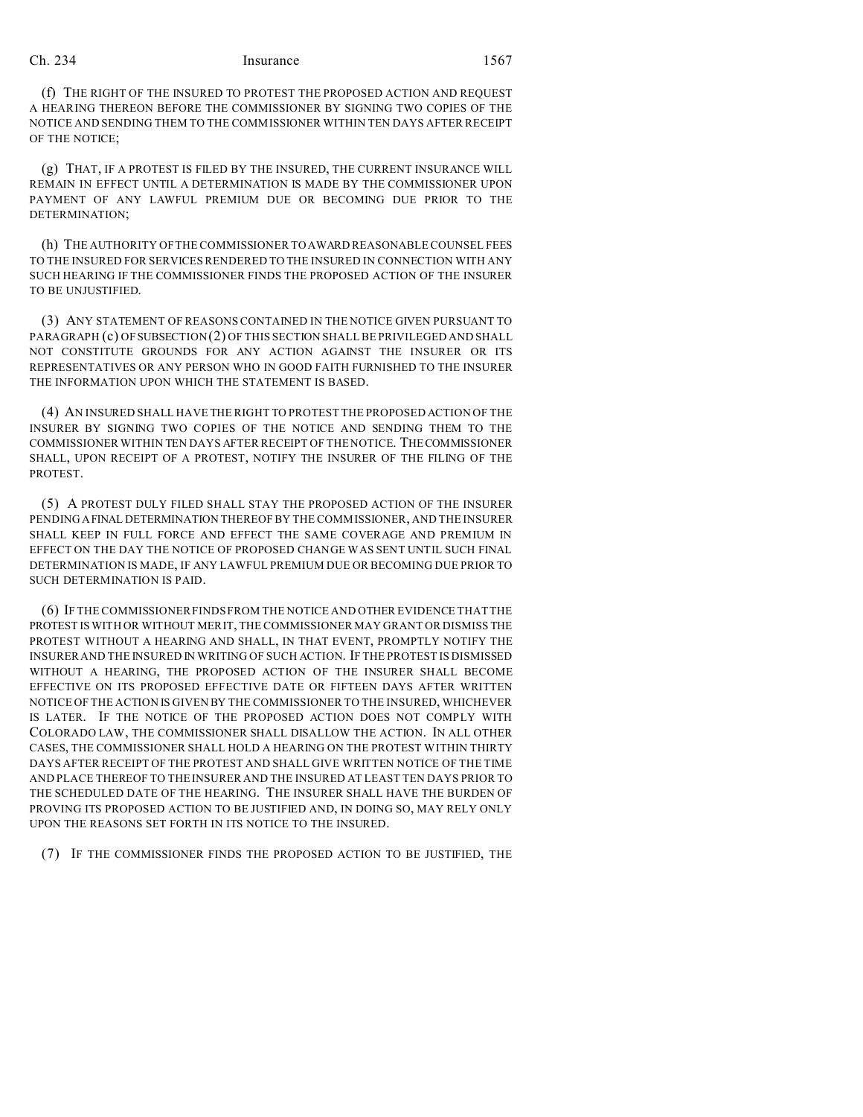(f) THE RIGHT OF THE INSURED TO PROTEST THE PROPOSED ACTION AND REQUEST A HEARING THEREON BEFORE THE COMMISSIONER BY SIGNING TWO COPIES OF THE NOTICE AND SENDING THEM TO THE COMMISSIONER WITHIN TEN DAYS AFTER RECEIPT OF THE NOTICE;

(g) THAT, IF A PROTEST IS FILED BY THE INSURED, THE CURRENT INSURANCE WILL REMAIN IN EFFECT UNTIL A DETERMINATION IS MADE BY THE COMMISSIONER UPON PAYMENT OF ANY LAWFUL PREMIUM DUE OR BECOMING DUE PRIOR TO THE DETERMINATION;

(h) THE AUTHORITY OF THE COMMISSIONER TO AWARD REASONABLE COUNSEL FEES TO THE INSURED FOR SERVICES RENDERED TO THE INSURED IN CONNECTION WITH ANY SUCH HEARING IF THE COMMISSIONER FINDS THE PROPOSED ACTION OF THE INSURER TO BE UNJUSTIFIED.

(3) ANY STATEMENT OF REASONS CONTAINED IN THE NOTICE GIVEN PURSUANT TO PARAGRAPH (c) OFSUBSECTION (2) OF THIS SECTION SHALL BE PRIVILEGED AND SHALL NOT CONSTITUTE GROUNDS FOR ANY ACTION AGAINST THE INSURER OR ITS REPRESENTATIVES OR ANY PERSON WHO IN GOOD FAITH FURNISHED TO THE INSURER THE INFORMATION UPON WHICH THE STATEMENT IS BASED.

(4) AN INSURED SHALL HAVE THE RIGHT TO PROTEST THE PROPOSED ACTION OF THE INSURER BY SIGNING TWO COPIES OF THE NOTICE AND SENDING THEM TO THE COMMISSIONER WITHIN TEN DAYS AFTER RECEIPT OF THE NOTICE. THECOMMISSIONER SHALL, UPON RECEIPT OF A PROTEST, NOTIFY THE INSURER OF THE FILING OF THE PROTEST.

(5) A PROTEST DULY FILED SHALL STAY THE PROPOSED ACTION OF THE INSURER PENDING AFINAL DETERMINATION THEREOF BY THE COMMISSIONER, AND THE INSURER SHALL KEEP IN FULL FORCE AND EFFECT THE SAME COVERAGE AND PREMIUM IN EFFECT ON THE DAY THE NOTICE OF PROPOSED CHANGE WAS SENT UNTIL SUCH FINAL DETERMINATION IS MADE, IF ANY LAWFUL PREMIUM DUE OR BECOMING DUE PRIOR TO SUCH DETERMINATION IS PAID.

(6) IF THE COMMISSIONER FINDS FROM THE NOTICE AND OTHER EVIDENCE THAT THE PROTEST IS WITH OR WITHOUT MERIT, THE COMMISSIONER MAY GRANT OR DISMISS THE PROTEST WITHOUT A HEARING AND SHALL, IN THAT EVENT, PROMPTLY NOTIFY THE INSURER AND THE INSURED IN WRITING OF SUCH ACTION. IF THE PROTEST IS DISMISSED WITHOUT A HEARING, THE PROPOSED ACTION OF THE INSURER SHALL BECOME EFFECTIVE ON ITS PROPOSED EFFECTIVE DATE OR FIFTEEN DAYS AFTER WRITTEN NOTICE OF THE ACTION IS GIVEN BY THE COMMISSIONER TO THE INSURED, WHICHEVER IS LATER. IF THE NOTICE OF THE PROPOSED ACTION DOES NOT COMPLY WITH COLORADO LAW, THE COMMISSIONER SHALL DISALLOW THE ACTION. IN ALL OTHER CASES, THE COMMISSIONER SHALL HOLD A HEARING ON THE PROTEST WITHIN THIRTY DAYS AFTER RECEIPT OF THE PROTEST AND SHALL GIVE WRITTEN NOTICE OF THE TIME AND PLACE THEREOF TO THE INSURER AND THE INSURED AT LEAST TEN DAYS PRIOR TO THE SCHEDULED DATE OF THE HEARING. THE INSURER SHALL HAVE THE BURDEN OF PROVING ITS PROPOSED ACTION TO BE JUSTIFIED AND, IN DOING SO, MAY RELY ONLY UPON THE REASONS SET FORTH IN ITS NOTICE TO THE INSURED.

(7) IF THE COMMISSIONER FINDS THE PROPOSED ACTION TO BE JUSTIFIED, THE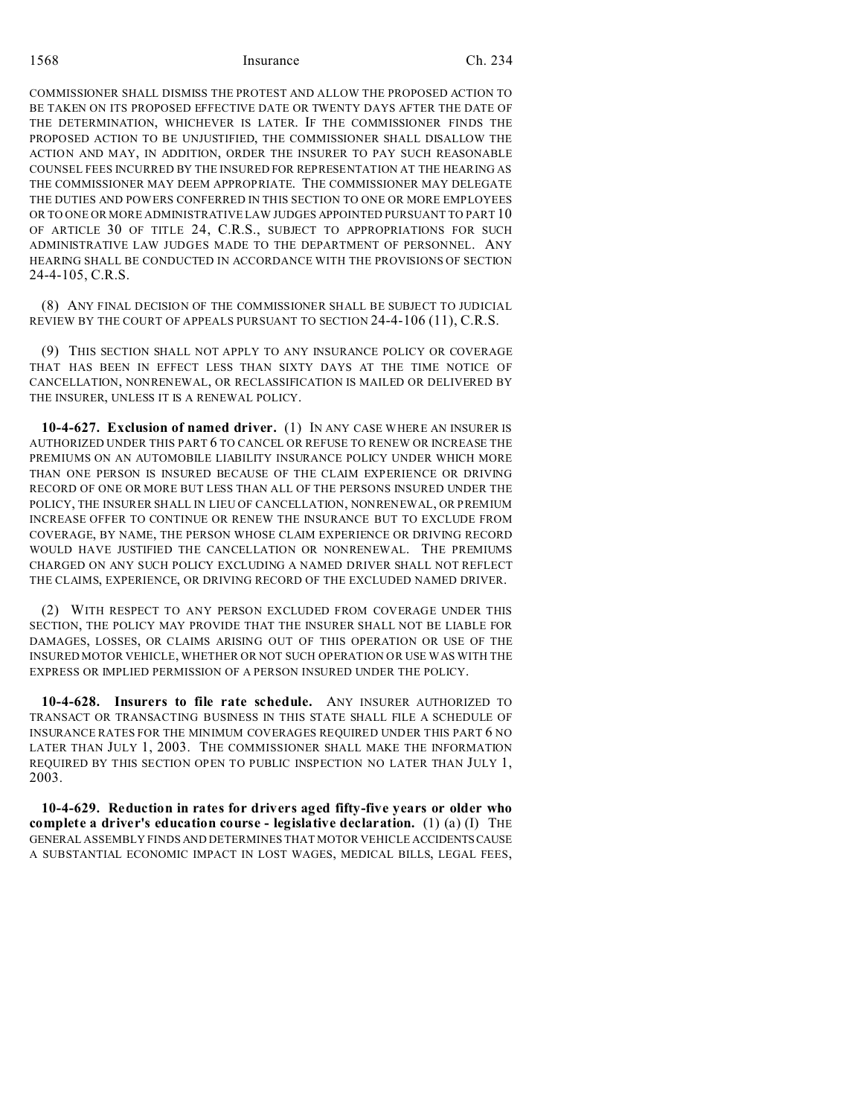COMMISSIONER SHALL DISMISS THE PROTEST AND ALLOW THE PROPOSED ACTION TO BE TAKEN ON ITS PROPOSED EFFECTIVE DATE OR TWENTY DAYS AFTER THE DATE OF THE DETERMINATION, WHICHEVER IS LATER. IF THE COMMISSIONER FINDS THE PROPOSED ACTION TO BE UNJUSTIFIED, THE COMMISSIONER SHALL DISALLOW THE ACTION AND MAY, IN ADDITION, ORDER THE INSURER TO PAY SUCH REASONABLE COUNSEL FEES INCURRED BY THE INSURED FOR REPRESENTATION AT THE HEARING AS THE COMMISSIONER MAY DEEM APPROPRIATE. THE COMMISSIONER MAY DELEGATE THE DUTIES AND POWERS CONFERRED IN THIS SECTION TO ONE OR MORE EMPLOYEES OR TO ONE OR MORE ADMINISTRATIVE LAW JUDGES APPOINTED PURSUANT TO PART 10 OF ARTICLE 30 OF TITLE 24, C.R.S., SUBJECT TO APPROPRIATIONS FOR SUCH ADMINISTRATIVE LAW JUDGES MADE TO THE DEPARTMENT OF PERSONNEL. ANY HEARING SHALL BE CONDUCTED IN ACCORDANCE WITH THE PROVISIONS OF SECTION 24-4-105, C.R.S.

(8) ANY FINAL DECISION OF THE COMMISSIONER SHALL BE SUBJECT TO JUDICIAL REVIEW BY THE COURT OF APPEALS PURSUANT TO SECTION 24-4-106 (11), C.R.S.

(9) THIS SECTION SHALL NOT APPLY TO ANY INSURANCE POLICY OR COVERAGE THAT HAS BEEN IN EFFECT LESS THAN SIXTY DAYS AT THE TIME NOTICE OF CANCELLATION, NONRENEWAL, OR RECLASSIFICATION IS MAILED OR DELIVERED BY THE INSURER, UNLESS IT IS A RENEWAL POLICY.

**10-4-627. Exclusion of named driver.** (1) IN ANY CASE WHERE AN INSURER IS AUTHORIZED UNDER THIS PART 6 TO CANCEL OR REFUSE TO RENEW OR INCREASE THE PREMIUMS ON AN AUTOMOBILE LIABILITY INSURANCE POLICY UNDER WHICH MORE THAN ONE PERSON IS INSURED BECAUSE OF THE CLAIM EXPERIENCE OR DRIVING RECORD OF ONE OR MORE BUT LESS THAN ALL OF THE PERSONS INSURED UNDER THE POLICY, THE INSURER SHALL IN LIEU OF CANCELLATION, NONRENEWAL, OR PREMIUM INCREASE OFFER TO CONTINUE OR RENEW THE INSURANCE BUT TO EXCLUDE FROM COVERAGE, BY NAME, THE PERSON WHOSE CLAIM EXPERIENCE OR DRIVING RECORD WOULD HAVE JUSTIFIED THE CANCELLATION OR NONRENEWAL. THE PREMIUMS CHARGED ON ANY SUCH POLICY EXCLUDING A NAMED DRIVER SHALL NOT REFLECT THE CLAIMS, EXPERIENCE, OR DRIVING RECORD OF THE EXCLUDED NAMED DRIVER.

(2) WITH RESPECT TO ANY PERSON EXCLUDED FROM COVERAGE UNDER THIS SECTION, THE POLICY MAY PROVIDE THAT THE INSURER SHALL NOT BE LIABLE FOR DAMAGES, LOSSES, OR CLAIMS ARISING OUT OF THIS OPERATION OR USE OF THE INSURED MOTOR VEHICLE, WHETHER OR NOT SUCH OPERATION OR USE WAS WITH THE EXPRESS OR IMPLIED PERMISSION OF A PERSON INSURED UNDER THE POLICY.

**10-4-628. Insurers to file rate schedule.** ANY INSURER AUTHORIZED TO TRANSACT OR TRANSACTING BUSINESS IN THIS STATE SHALL FILE A SCHEDULE OF INSURANCE RATES FOR THE MINIMUM COVERAGES REQUIRED UNDER THIS PART 6 NO LATER THAN JULY 1, 2003. THE COMMISSIONER SHALL MAKE THE INFORMATION REQUIRED BY THIS SECTION OPEN TO PUBLIC INSPECTION NO LATER THAN JULY 1, 2003.

**10-4-629. Reduction in rates for drivers aged fifty-five years or older who complete a driver's education course - legislative declaration.** (1) (a) (I) THE GENERAL ASSEMBLY FINDS AND DETERMINES THAT MOTOR VEHICLE ACCIDENTSCAUSE A SUBSTANTIAL ECONOMIC IMPACT IN LOST WAGES, MEDICAL BILLS, LEGAL FEES,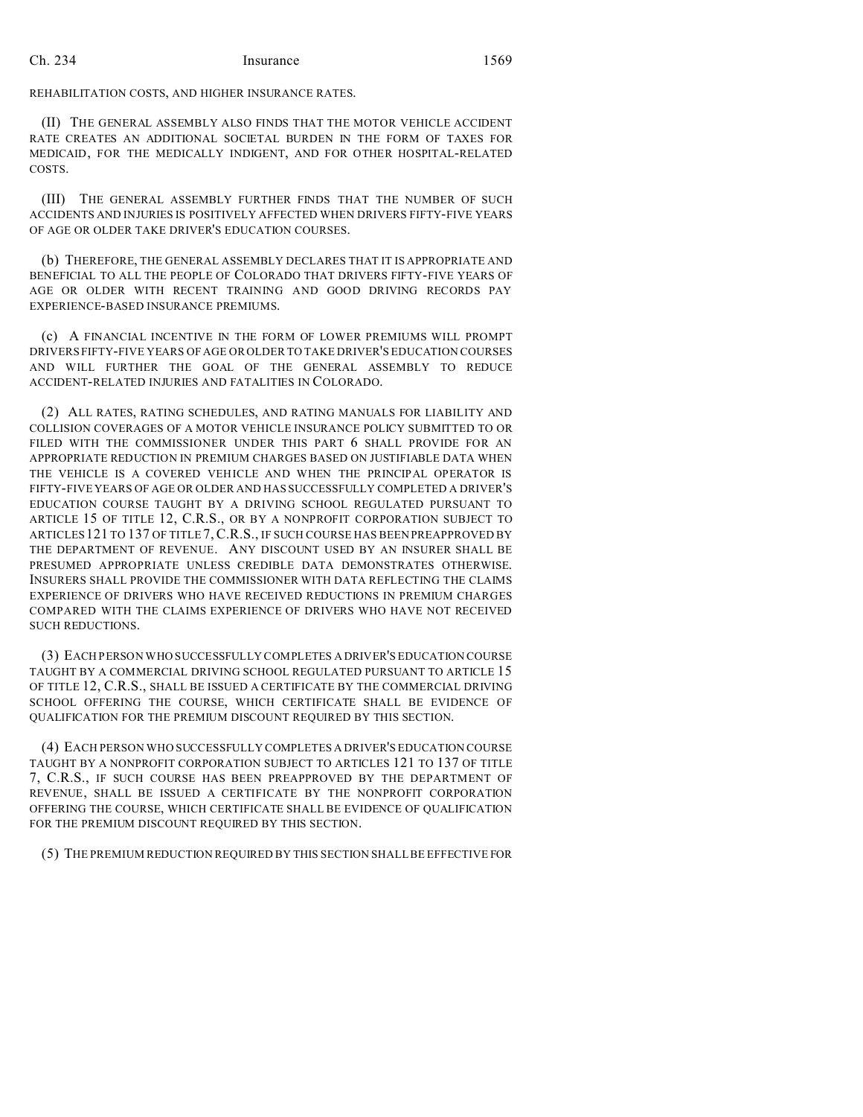REHABILITATION COSTS, AND HIGHER INSURANCE RATES.

(II) THE GENERAL ASSEMBLY ALSO FINDS THAT THE MOTOR VEHICLE ACCIDENT RATE CREATES AN ADDITIONAL SOCIETAL BURDEN IN THE FORM OF TAXES FOR MEDICAID, FOR THE MEDICALLY INDIGENT, AND FOR OTHER HOSPITAL-RELATED COSTS.

(III) THE GENERAL ASSEMBLY FURTHER FINDS THAT THE NUMBER OF SUCH ACCIDENTS AND INJURIES IS POSITIVELY AFFECTED WHEN DRIVERS FIFTY-FIVE YEARS OF AGE OR OLDER TAKE DRIVER'S EDUCATION COURSES.

(b) THEREFORE, THE GENERAL ASSEMBLY DECLARES THAT IT IS APPROPRIATE AND BENEFICIAL TO ALL THE PEOPLE OF COLORADO THAT DRIVERS FIFTY-FIVE YEARS OF AGE OR OLDER WITH RECENT TRAINING AND GOOD DRIVING RECORDS PAY EXPERIENCE-BASED INSURANCE PREMIUMS.

(c) A FINANCIAL INCENTIVE IN THE FORM OF LOWER PREMIUMS WILL PROMPT DRIVERS FIFTY-FIVE YEARS OF AGE OR OLDER TO TAKE DRIVER'S EDUCATION COURSES AND WILL FURTHER THE GOAL OF THE GENERAL ASSEMBLY TO REDUCE ACCIDENT-RELATED INJURIES AND FATALITIES IN COLORADO.

(2) ALL RATES, RATING SCHEDULES, AND RATING MANUALS FOR LIABILITY AND COLLISION COVERAGES OF A MOTOR VEHICLE INSURANCE POLICY SUBMITTED TO OR FILED WITH THE COMMISSIONER UNDER THIS PART 6 SHALL PROVIDE FOR AN APPROPRIATE REDUCTION IN PREMIUM CHARGES BASED ON JUSTIFIABLE DATA WHEN THE VEHICLE IS A COVERED VEHICLE AND WHEN THE PRINCIPAL OPERATOR IS FIFTY-FIVE YEARS OF AGE OR OLDER AND HAS SUCCESSFULLY COMPLETED A DRIVER'S EDUCATION COURSE TAUGHT BY A DRIVING SCHOOL REGULATED PURSUANT TO ARTICLE 15 OF TITLE 12, C.R.S., OR BY A NONPROFIT CORPORATION SUBJECT TO ARTICLES 121 TO 137 OF TITLE 7, C.R.S., IF SUCH COURSE HAS BEEN PREAPPROVED BY THE DEPARTMENT OF REVENUE. ANY DISCOUNT USED BY AN INSURER SHALL BE PRESUMED APPROPRIATE UNLESS CREDIBLE DATA DEMONSTRATES OTHERWISE. INSURERS SHALL PROVIDE THE COMMISSIONER WITH DATA REFLECTING THE CLAIMS EXPERIENCE OF DRIVERS WHO HAVE RECEIVED REDUCTIONS IN PREMIUM CHARGES COMPARED WITH THE CLAIMS EXPERIENCE OF DRIVERS WHO HAVE NOT RECEIVED SUCH REDUCTIONS.

(3) EACH PERSON WHO SUCCESSFULLY COMPLETES A DRIVER'S EDUCATION COURSE TAUGHT BY A COMMERCIAL DRIVING SCHOOL REGULATED PURSUANT TO ARTICLE 15 OF TITLE 12, C.R.S., SHALL BE ISSUED A CERTIFICATE BY THE COMMERCIAL DRIVING SCHOOL OFFERING THE COURSE, WHICH CERTIFICATE SHALL BE EVIDENCE OF QUALIFICATION FOR THE PREMIUM DISCOUNT REQUIRED BY THIS SECTION.

(4) EACH PERSON WHO SUCCESSFULLY COMPLETES A DRIVER'S EDUCATION COURSE TAUGHT BY A NONPROFIT CORPORATION SUBJECT TO ARTICLES 121 TO 137 OF TITLE 7, C.R.S., IF SUCH COURSE HAS BEEN PREAPPROVED BY THE DEPARTMENT OF REVENUE, SHALL BE ISSUED A CERTIFICATE BY THE NONPROFIT CORPORATION OFFERING THE COURSE, WHICH CERTIFICATE SHALL BE EVIDENCE OF QUALIFICATION FOR THE PREMIUM DISCOUNT REQUIRED BY THIS SECTION.

(5) THE PREMIUM REDUCTION REQUIRED BY THIS SECTION SHALL BE EFFECTIVE FOR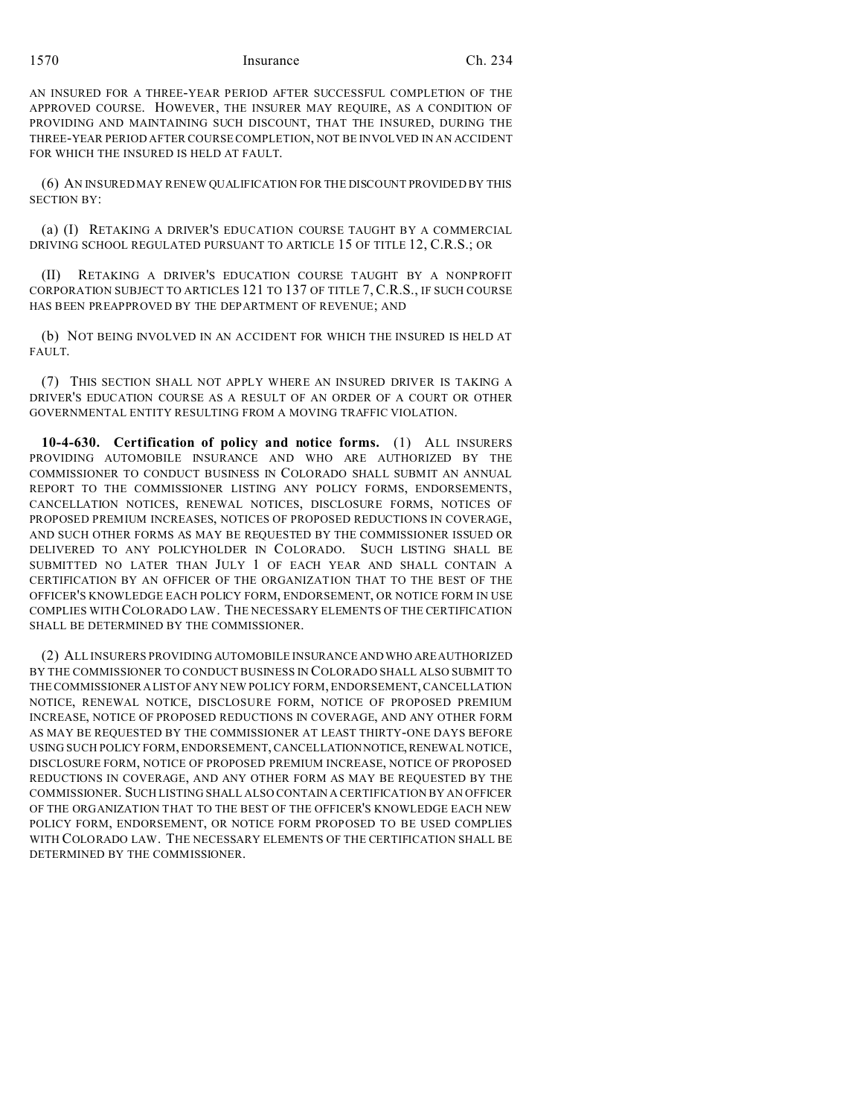AN INSURED FOR A THREE-YEAR PERIOD AFTER SUCCESSFUL COMPLETION OF THE APPROVED COURSE. HOWEVER, THE INSURER MAY REQUIRE, AS A CONDITION OF PROVIDING AND MAINTAINING SUCH DISCOUNT, THAT THE INSURED, DURING THE THREE-YEAR PERIOD AFTER COURSE COMPLETION, NOT BE INVOLVED IN AN ACCIDENT FOR WHICH THE INSURED IS HELD AT FAULT.

(6) AN INSURED MAY RENEW QUALIFICATION FOR THE DISCOUNT PROVIDED BY THIS SECTION BY:

(a) (I) RETAKING A DRIVER'S EDUCATION COURSE TAUGHT BY A COMMERCIAL DRIVING SCHOOL REGULATED PURSUANT TO ARTICLE 15 OF TITLE 12, C.R.S.; OR

(II) RETAKING A DRIVER'S EDUCATION COURSE TAUGHT BY A NONPROFIT CORPORATION SUBJECT TO ARTICLES 121 TO 137 OF TITLE 7, C.R.S., IF SUCH COURSE HAS BEEN PREAPPROVED BY THE DEPARTMENT OF REVENUE; AND

(b) NOT BEING INVOLVED IN AN ACCIDENT FOR WHICH THE INSURED IS HELD AT FAULT.

(7) THIS SECTION SHALL NOT APPLY WHERE AN INSURED DRIVER IS TAKING A DRIVER'S EDUCATION COURSE AS A RESULT OF AN ORDER OF A COURT OR OTHER GOVERNMENTAL ENTITY RESULTING FROM A MOVING TRAFFIC VIOLATION.

**10-4-630. Certification of policy and notice forms.** (1) ALL INSURERS PROVIDING AUTOMOBILE INSURANCE AND WHO ARE AUTHORIZED BY THE COMMISSIONER TO CONDUCT BUSINESS IN COLORADO SHALL SUBMIT AN ANNUAL REPORT TO THE COMMISSIONER LISTING ANY POLICY FORMS, ENDORSEMENTS, CANCELLATION NOTICES, RENEWAL NOTICES, DISCLOSURE FORMS, NOTICES OF PROPOSED PREMIUM INCREASES, NOTICES OF PROPOSED REDUCTIONS IN COVERAGE, AND SUCH OTHER FORMS AS MAY BE REQUESTED BY THE COMMISSIONER ISSUED OR DELIVERED TO ANY POLICYHOLDER IN COLORADO. SUCH LISTING SHALL BE SUBMITTED NO LATER THAN JULY 1 OF EACH YEAR AND SHALL CONTAIN A CERTIFICATION BY AN OFFICER OF THE ORGANIZATION THAT TO THE BEST OF THE OFFICER'S KNOWLEDGE EACH POLICY FORM, ENDORSEMENT, OR NOTICE FORM IN USE COMPLIES WITH COLORADO LAW. THE NECESSARY ELEMENTS OF THE CERTIFICATION SHALL BE DETERMINED BY THE COMMISSIONER.

(2) ALL INSURERS PROVIDING AUTOMOBILE INSURANCE ANDWHO ARE AUTHORIZED BY THE COMMISSIONER TO CONDUCT BUSINESS IN COLORADO SHALL ALSO SUBMIT TO THE COMMISSIONERALISTOF ANY NEW POLICY FORM, ENDORSEMENT, CANCELLATION NOTICE, RENEWAL NOTICE, DISCLOSURE FORM, NOTICE OF PROPOSED PREMIUM INCREASE, NOTICE OF PROPOSED REDUCTIONS IN COVERAGE, AND ANY OTHER FORM AS MAY BE REQUESTED BY THE COMMISSIONER AT LEAST THIRTY-ONE DAYS BEFORE USING SUCH POLICY FORM, ENDORSEMENT, CANCELLATION NOTICE, RENEWAL NOTICE, DISCLOSURE FORM, NOTICE OF PROPOSED PREMIUM INCREASE, NOTICE OF PROPOSED REDUCTIONS IN COVERAGE, AND ANY OTHER FORM AS MAY BE REQUESTED BY THE COMMISSIONER. SUCH LISTING SHALL ALSO CONTAIN A CERTIFICATION BY AN OFFICER OF THE ORGANIZATION THAT TO THE BEST OF THE OFFICER'S KNOWLEDGE EACH NEW POLICY FORM, ENDORSEMENT, OR NOTICE FORM PROPOSED TO BE USED COMPLIES WITH COLORADO LAW. THE NECESSARY ELEMENTS OF THE CERTIFICATION SHALL BE DETERMINED BY THE COMMISSIONER.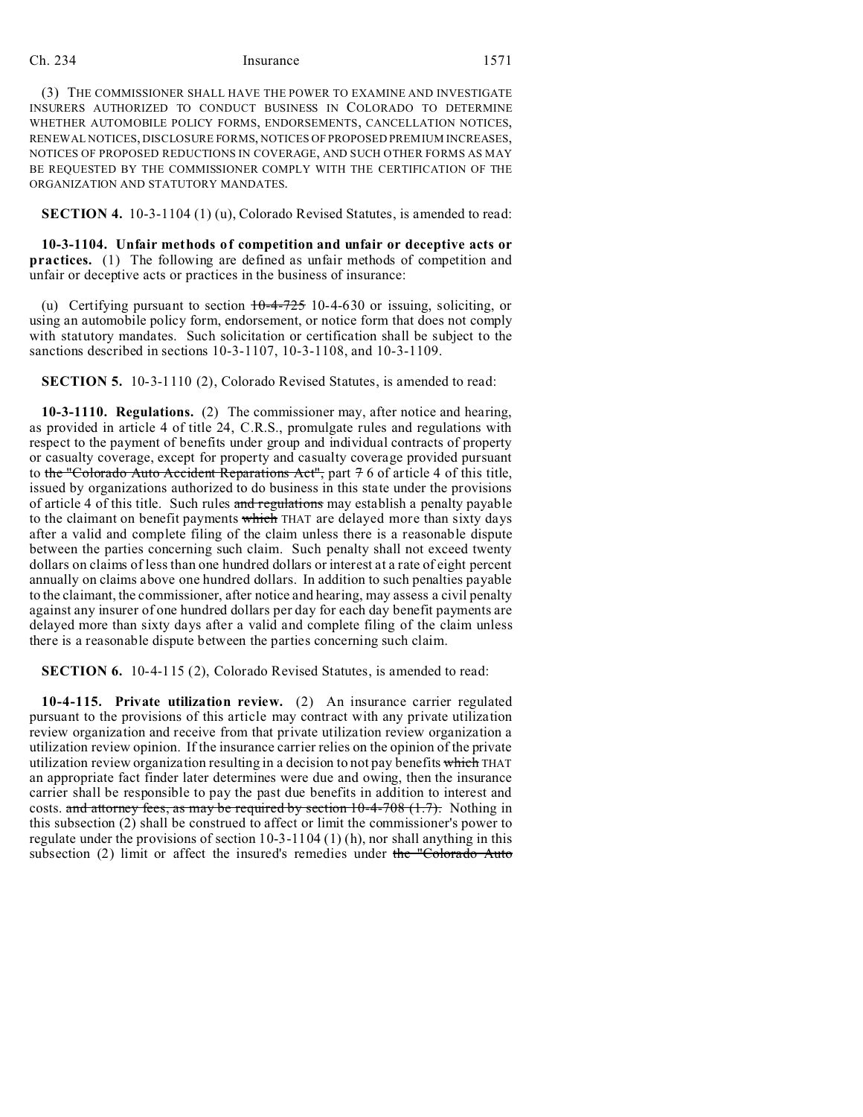(3) THE COMMISSIONER SHALL HAVE THE POWER TO EXAMINE AND INVESTIGATE INSURERS AUTHORIZED TO CONDUCT BUSINESS IN COLORADO TO DETERMINE WHETHER AUTOMOBILE POLICY FORMS, ENDORSEMENTS, CANCELLATION NOTICES, RENEWAL NOTICES, DISCLOSURE FORMS, NOTICES OF PROPOSED PREMIUM INCREASES, NOTICES OF PROPOSED REDUCTIONS IN COVERAGE, AND SUCH OTHER FORMS AS MAY BE REQUESTED BY THE COMMISSIONER COMPLY WITH THE CERTIFICATION OF THE ORGANIZATION AND STATUTORY MANDATES.

**SECTION 4.** 10-3-1104 (1) (u), Colorado Revised Statutes, is amended to read:

**10-3-1104. Unfair methods of competition and unfair or deceptive acts or practices.** (1) The following are defined as unfair methods of competition and unfair or deceptive acts or practices in the business of insurance:

(u) Certifying pursuant to section  $10-4-725$  10-4-630 or issuing, soliciting, or using an automobile policy form, endorsement, or notice form that does not comply with statutory mandates. Such solicitation or certification shall be subject to the sanctions described in sections 10-3-1107, 10-3-1108, and 10-3-1109.

**SECTION 5.** 10-3-1110 (2), Colorado Revised Statutes, is amended to read:

**10-3-1110. Regulations.** (2) The commissioner may, after notice and hearing, as provided in article 4 of title 24, C.R.S., promulgate rules and regulations with respect to the payment of benefits under group and individual contracts of property or casualty coverage, except for property and casualty coverage provided pursuant to the "Colorado Auto Accident Reparations Act", part 7 6 of article 4 of this title, issued by organizations authorized to do business in this state under the provisions of article 4 of this title. Such rules and regulations may establish a penalty payable to the claimant on benefit payments which THAT are delayed more than sixty days after a valid and complete filing of the claim unless there is a reasonable dispute between the parties concerning such claim. Such penalty shall not exceed twenty dollars on claims of less than one hundred dollars or interest at a rate of eight percent annually on claims above one hundred dollars. In addition to such penalties payable to the claimant, the commissioner, after notice and hearing, may assess a civil penalty against any insurer of one hundred dollars per day for each day benefit payments are delayed more than sixty days after a valid and complete filing of the claim unless there is a reasonable dispute between the parties concerning such claim.

**SECTION 6.** 10-4-115 (2), Colorado Revised Statutes, is amended to read:

**10-4-115. Private utilization review.** (2) An insurance carrier regulated pursuant to the provisions of this article may contract with any private utilization review organization and receive from that private utilization review organization a utilization review opinion. If the insurance carrier relies on the opinion of the private utilization review organization resulting in a decision to not pay benefits which THAT an appropriate fact finder later determines were due and owing, then the insurance carrier shall be responsible to pay the past due benefits in addition to interest and costs. and attorney fees, as may be required by section  $10-4-708$   $(1.7)$ . Nothing in this subsection (2) shall be construed to affect or limit the commissioner's power to regulate under the provisions of section 10-3-1104 (1) (h), nor shall anything in this subsection  $(2)$  limit or affect the insured's remedies under the "Colorado Auto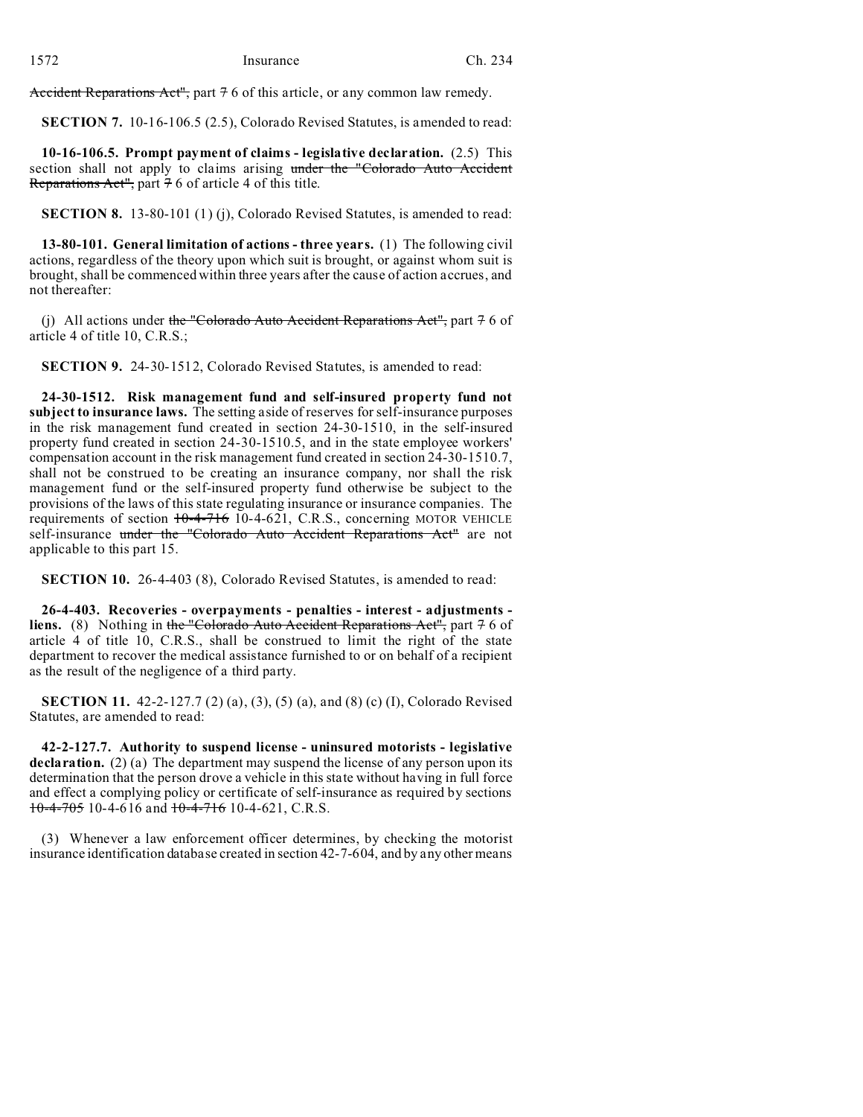Accident Reparations Act", part 7 6 of this article, or any common law remedy.

**SECTION 7.** 10-16-106.5 (2.5), Colorado Revised Statutes, is amended to read:

**10-16-106.5. Prompt payment of claims - legislative declaration.** (2.5) This section shall not apply to claims arising under the "Colorado Auto Accident Reparations Act", part  $76$  of article 4 of this title.

**SECTION 8.** 13-80-101 (1) (j), Colorado Revised Statutes, is amended to read:

**13-80-101. General limitation of actions - three years.** (1) The following civil actions, regardless of the theory upon which suit is brought, or against whom suit is brought, shall be commenced within three years after the cause of action accrues, and not thereafter:

(j) All actions under the "Colorado Auto Accident Reparations Act", part  $\frac{1}{7}$  6 of article 4 of title 10, C.R.S.;

**SECTION 9.** 24-30-1512, Colorado Revised Statutes, is amended to read:

**24-30-1512. Risk management fund and self-insured property fund not subject to insurance laws.** The setting aside of reserves for self-insurance purposes in the risk management fund created in section 24-30-1510, in the self-insured property fund created in section 24-30-1510.5, and in the state employee workers' compensation account in the risk management fund created in section 24-30-1510.7, shall not be construed to be creating an insurance company, nor shall the risk management fund or the self-insured property fund otherwise be subject to the provisions of the laws of this state regulating insurance or insurance companies. The requirements of section  $10-4-716$  10-4-621, C.R.S., concerning MOTOR VEHICLE self-insurance under the "Colorado Auto Accident Reparations Act" are not applicable to this part 15.

**SECTION 10.** 26-4-403 (8), Colorado Revised Statutes, is amended to read:

**26-4-403. Recoveries - overpayments - penalties - interest - adjustments liens.** (8) Nothing in the "Colorado Auto Accident Reparations Act", part 7 6 of article 4 of title 10, C.R.S., shall be construed to limit the right of the state department to recover the medical assistance furnished to or on behalf of a recipient as the result of the negligence of a third party.

**SECTION 11.** 42-2-127.7 (2) (a), (3), (5) (a), and (8) (c) (I), Colorado Revised Statutes, are amended to read:

**42-2-127.7. Authority to suspend license - uninsured motorists - legislative** declaration. (2) (a) The department may suspend the license of any person upon its determination that the person drove a vehicle in this state without having in full force and effect a complying policy or certificate of self-insurance as required by sections  $10-4-705$  10-4-616 and  $10-4-716$  10-4-621, C.R.S.

(3) Whenever a law enforcement officer determines, by checking the motorist insurance identification database created in section 42-7-604, and by any other means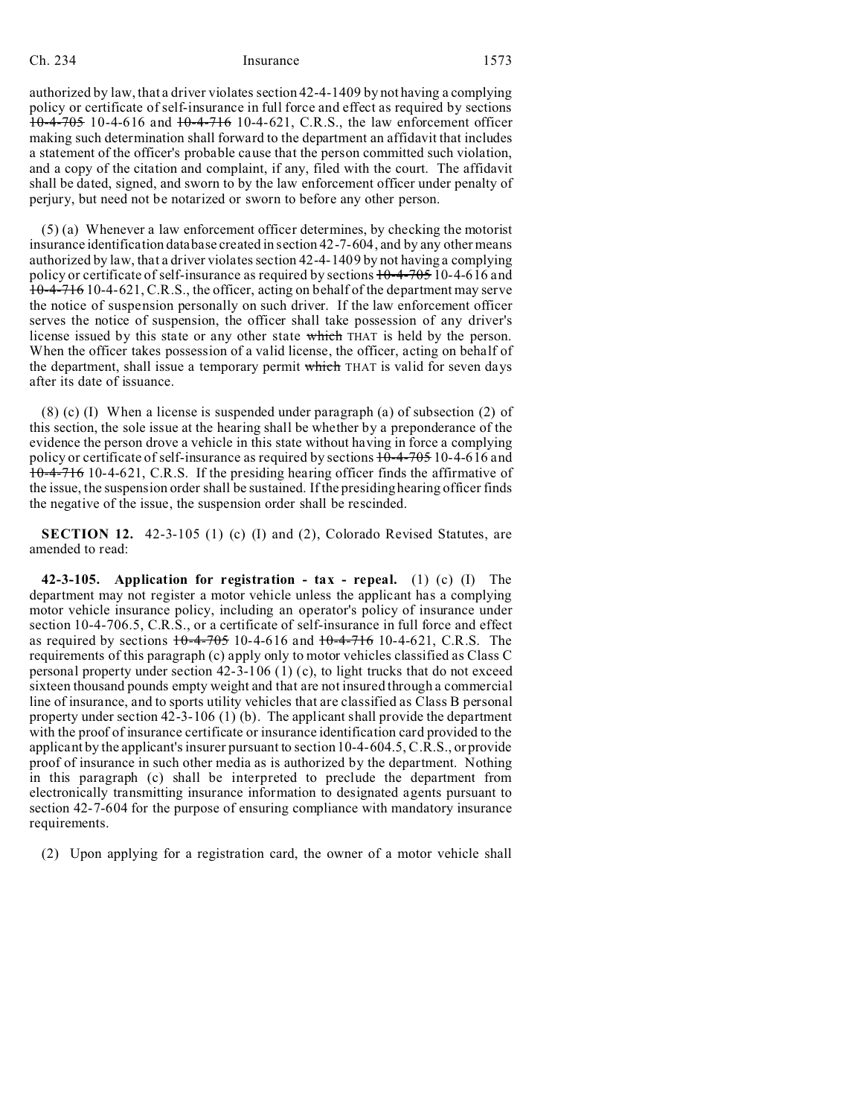authorized by law, that a driver violates section 42-4-1409 by not having a complying policy or certificate of self-insurance in full force and effect as required by sections 10-4-705 10-4-616 and 10-4-716 10-4-621, C.R.S., the law enforcement officer making such determination shall forward to the department an affidavit that includes a statement of the officer's probable cause that the person committed such violation, and a copy of the citation and complaint, if any, filed with the court. The affidavit shall be dated, signed, and sworn to by the law enforcement officer under penalty of perjury, but need not be notarized or sworn to before any other person.

(5) (a) Whenever a law enforcement officer determines, by checking the motorist insurance identification database created in section 42-7-604, and by any other means authorized by law, that a driver violates section 42-4-1409 by not having a complying policy or certificate of self-insurance as required by sections  $10-4-705$  10-4-616 and 10-4-716 10-4-621, C.R.S., the officer, acting on behalf of the department may serve the notice of suspension personally on such driver. If the law enforcement officer serves the notice of suspension, the officer shall take possession of any driver's license issued by this state or any other state which THAT is held by the person. When the officer takes possession of a valid license, the officer, acting on behalf of the department, shall issue a temporary permit which THAT is valid for seven days after its date of issuance.

(8) (c) (I) When a license is suspended under paragraph (a) of subsection (2) of this section, the sole issue at the hearing shall be whether by a preponderance of the evidence the person drove a vehicle in this state without having in force a complying policy or certificate of self-insurance as required by sections  $10-4-705$  10-4-616 and 10-4-716 10-4-621, C.R.S. If the presiding hearing officer finds the affirmative of the issue, the suspension order shall be sustained. If the presiding hearing officer finds the negative of the issue, the suspension order shall be rescinded.

**SECTION 12.** 42-3-105 (1) (c) (I) and (2), Colorado Revised Statutes, are amended to read:

**42-3-105. Application for registration - tax - repeal.** (1) (c) (I) The department may not register a motor vehicle unless the applicant has a complying motor vehicle insurance policy, including an operator's policy of insurance under section 10-4-706.5, C.R.S., or a certificate of self-insurance in full force and effect as required by sections  $10-4-705$  10-4-616 and  $10-4-716$  10-4-621, C.R.S. The requirements of this paragraph (c) apply only to motor vehicles classified as Class C personal property under section 42-3-106 (1) (c), to light trucks that do not exceed sixteen thousand pounds empty weight and that are not insured through a commercial line of insurance, and to sports utility vehicles that are classified as Class B personal property under section 42-3-106 (1) (b). The applicant shall provide the department with the proof of insurance certificate or insurance identification card provided to the applicant by the applicant's insurer pursuant to section 10-4-604.5, C.R.S., or provide proof of insurance in such other media as is authorized by the department. Nothing in this paragraph (c) shall be interpreted to preclude the department from electronically transmitting insurance information to designated agents pursuant to section 42-7-604 for the purpose of ensuring compliance with mandatory insurance requirements.

(2) Upon applying for a registration card, the owner of a motor vehicle shall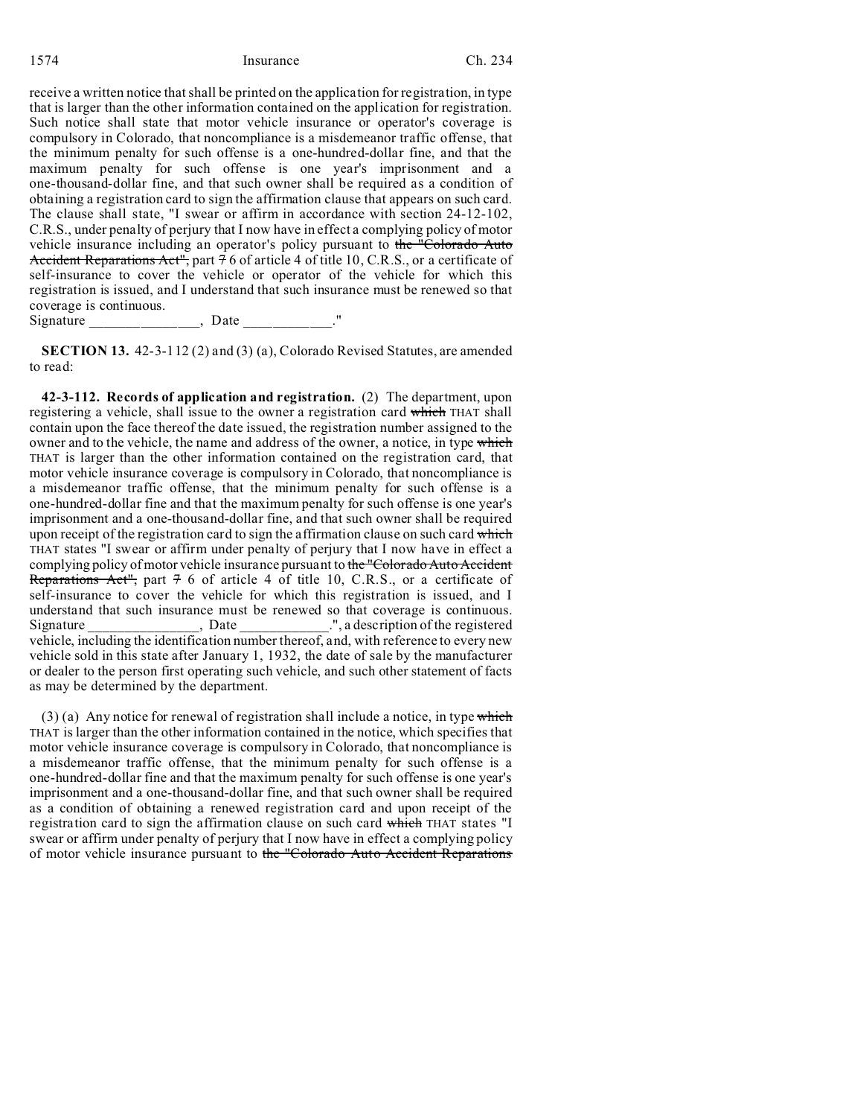receive a written notice that shall be printed on the application for registration, in type that is larger than the other information contained on the application for registration. Such notice shall state that motor vehicle insurance or operator's coverage is compulsory in Colorado, that noncompliance is a misdemeanor traffic offense, that the minimum penalty for such offense is a one-hundred-dollar fine, and that the maximum penalty for such offense is one year's imprisonment and a one-thousand-dollar fine, and that such owner shall be required as a condition of obtaining a registration card to sign the affirmation clause that appears on such card. The clause shall state, "I swear or affirm in accordance with section 24-12-102, C.R.S., under penalty of perjury that I now have in effect a complying policy of motor vehicle insurance including an operator's policy pursuant to the "Colorado Auto" Accident Reparations Act", part 76 of article 4 of title 10, C.R.S., or a certificate of self-insurance to cover the vehicle or operator of the vehicle for which this registration is issued, and I understand that such insurance must be renewed so that coverage is continuous.

Signature \_\_\_\_\_\_\_\_\_\_\_\_\_\_\_, Date \_\_\_\_\_\_\_\_\_\_\_\_."

**SECTION 13.** 42-3-112 (2) and (3) (a), Colorado Revised Statutes, are amended to read:

**42-3-112. Records of application and registration.** (2) The department, upon registering a vehicle, shall issue to the owner a registration card which THAT shall contain upon the face thereof the date issued, the registration number assigned to the owner and to the vehicle, the name and address of the owner, a notice, in type which THAT is larger than the other information contained on the registration card, that motor vehicle insurance coverage is compulsory in Colorado, that noncompliance is a misdemeanor traffic offense, that the minimum penalty for such offense is a one-hundred-dollar fine and that the maximum penalty for such offense is one year's imprisonment and a one-thousand-dollar fine, and that such owner shall be required upon receipt of the registration card to sign the affirmation clause on such card which THAT states "I swear or affirm under penalty of perjury that I now have in effect a complying policy of motor vehicle insurance pursuant to the "Colorado Auto Accident Reparations Act", part  $76$  of article 4 of title 10, C.R.S., or a certificate of self-insurance to cover the vehicle for which this registration is issued, and I understand that such insurance must be renewed so that coverage is continuous. Signature \_\_\_\_\_\_\_\_\_\_\_\_\_\_\_, Date \_\_\_\_\_\_\_\_\_\_\_\_.", a description of the registered vehicle, including the identification number thereof, and, with reference to every new vehicle sold in this state after January 1, 1932, the date of sale by the manufacturer or dealer to the person first operating such vehicle, and such other statement of facts as may be determined by the department.

 $(3)$  (a) Any notice for renewal of registration shall include a notice, in type which THAT is larger than the other information contained in the notice, which specifies that motor vehicle insurance coverage is compulsory in Colorado, that noncompliance is a misdemeanor traffic offense, that the minimum penalty for such offense is a one-hundred-dollar fine and that the maximum penalty for such offense is one year's imprisonment and a one-thousand-dollar fine, and that such owner shall be required as a condition of obtaining a renewed registration card and upon receipt of the registration card to sign the affirmation clause on such card which THAT states "I swear or affirm under penalty of perjury that I now have in effect a complying policy of motor vehicle insurance pursuant to the "Colorado Auto Accident Reparations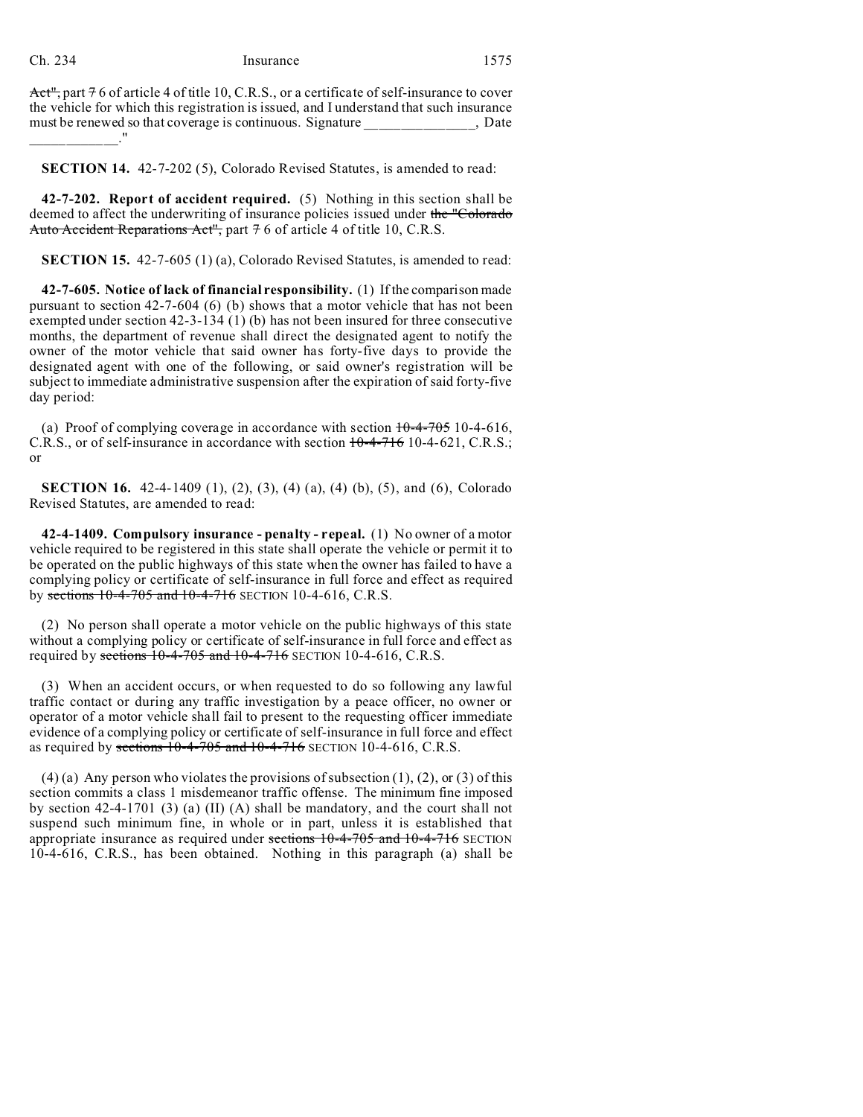Act", part  $76$  of article 4 of title 10, C.R.S., or a certificate of self-insurance to cover the vehicle for which this registration is issued, and I understand that such insurance must be renewed so that coverage is continuous. Signature  $\qquad \qquad$ , Date \_\_\_\_\_\_\_\_\_\_\_\_."

**SECTION 14.** 42-7-202 (5), Colorado Revised Statutes, is amended to read:

**42-7-202. Report of accident required.** (5) Nothing in this section shall be deemed to affect the underwriting of insurance policies issued under the "Colorado" Auto Accident Reparations Act", part 7 6 of article 4 of title 10, C.R.S.

**SECTION 15.** 42-7-605 (1) (a), Colorado Revised Statutes, is amended to read:

**42-7-605. Notice of lack of financial responsibility.** (1) If the comparison made pursuant to section 42-7-604 (6) (b) shows that a motor vehicle that has not been exempted under section 42-3-134 (1) (b) has not been insured for three consecutive months, the department of revenue shall direct the designated agent to notify the owner of the motor vehicle that said owner has forty-five days to provide the designated agent with one of the following, or said owner's registration will be subject to immediate administrative suspension after the expiration of said forty-five day period:

(a) Proof of complying coverage in accordance with section  $10-4-705$  10-4-616, C.R.S., or of self-insurance in accordance with section 10-4-716 10-4-621, C.R.S.; or

**SECTION 16.** 42-4-1409 (1), (2), (3), (4) (a), (4) (b), (5), and (6), Colorado Revised Statutes, are amended to read:

**42-4-1409. Compulsory insurance - penalty - repeal.** (1) No owner of a motor vehicle required to be registered in this state shall operate the vehicle or permit it to be operated on the public highways of this state when the owner has failed to have a complying policy or certificate of self-insurance in full force and effect as required by sections 10-4-705 and 10-4-716 SECTION 10-4-616, C.R.S.

(2) No person shall operate a motor vehicle on the public highways of this state without a complying policy or certificate of self-insurance in full force and effect as required by sections  $10-4-705$  and  $10-4-716$  SECTION 10-4-616, C.R.S.

(3) When an accident occurs, or when requested to do so following any lawful traffic contact or during any traffic investigation by a peace officer, no owner or operator of a motor vehicle shall fail to present to the requesting officer immediate evidence of a complying policy or certificate of self-insurance in full force and effect as required by sections  $10-4-705$  and  $10-4-716$  SECTION 10-4-616, C.R.S.

(4) (a) Any person who violates the provisions of subsection  $(1)$ ,  $(2)$ , or  $(3)$  of this section commits a class 1 misdemeanor traffic offense. The minimum fine imposed by section 42-4-1701 (3) (a) (II) (A) shall be mandatory, and the court shall not suspend such minimum fine, in whole or in part, unless it is established that appropriate insurance as required under sections 10-4-705 and 10-4-716 SECTION 10-4-616, C.R.S., has been obtained. Nothing in this paragraph (a) shall be